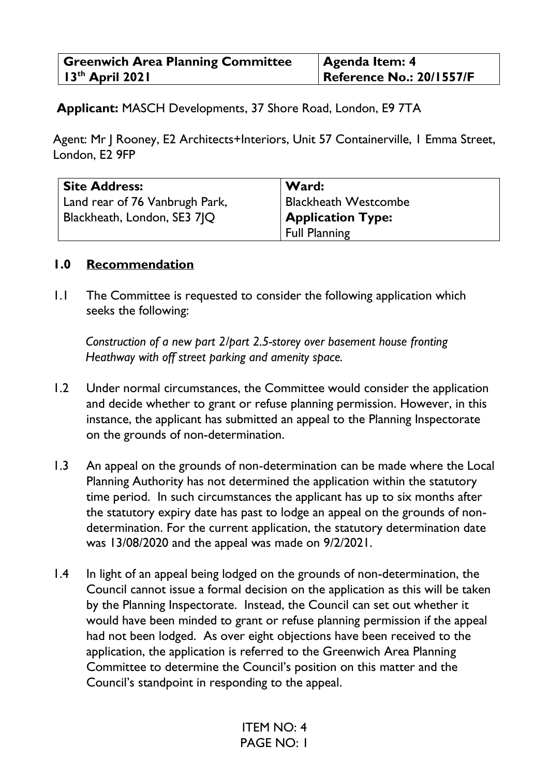| <b>Greenwich Area Planning Committee</b> | $\vert$ Agenda Item: 4          |
|------------------------------------------|---------------------------------|
| $13th$ April 2021                        | <b>Reference No.: 20/1557/F</b> |

 **Applicant:** MASCH Developments, 37 Shore Road, London, E9 7TA

Agent: Mr J Rooney, E2 Architects+Interiors, Unit 57 Containerville, 1 Emma Street, London, E2 9FP

| <b>Site Address:</b>           | Ward:                       |
|--------------------------------|-----------------------------|
| Land rear of 76 Vanbrugh Park, | <b>Blackheath Westcombe</b> |
| Blackheath, London, SE3 71Q    | <b>Application Type:</b>    |
|                                | <b>Full Planning</b>        |

#### **1.0 Recommendation**

1.1 The Committee is requested to consider the following application which seeks the following:

*Construction of a new part 2/part 2.5-storey over basement house fronting Heathway with off street parking and amenity space.* 

- 1.2 Under normal circumstances, the Committee would consider the application and decide whether to grant or refuse planning permission. However, in this instance, the applicant has submitted an appeal to the Planning Inspectorate on the grounds of non-determination.
- 1.3 An appeal on the grounds of non-determination can be made where the Local Planning Authority has not determined the application within the statutory time period. In such circumstances the applicant has up to six months after the statutory expiry date has past to lodge an appeal on the grounds of nondetermination. For the current application, the statutory determination date was 13/08/2020 and the appeal was made on 9/2/2021.
- 1.4 In light of an appeal being lodged on the grounds of non-determination, the Council cannot issue a formal decision on the application as this will be taken by the Planning Inspectorate. Instead, the Council can set out whether it would have been minded to grant or refuse planning permission if the appeal had not been lodged. As over eight objections have been received to the application, the application is referred to the Greenwich Area Planning Committee to determine the Council's position on this matter and the Council's standpoint in responding to the appeal.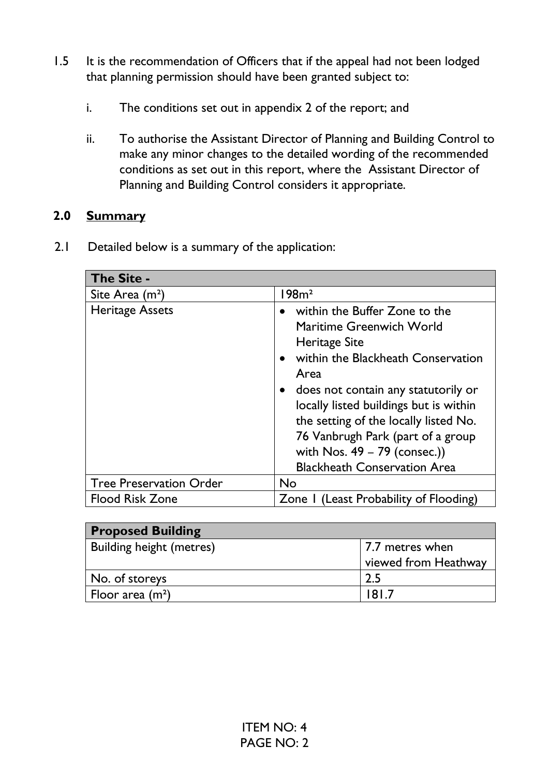- 1.5 It is the recommendation of Officers that if the appeal had not been lodged that planning permission should have been granted subject to:
	- i. The conditions set out in appendix 2 of the report; and
	- ii. To authorise the Assistant Director of Planning and Building Control to make any minor changes to the detailed wording of the recommended conditions as set out in this report, where the Assistant Director of Planning and Building Control considers it appropriate.

#### **2.0 Summary**

2.1 Detailed below is a summary of the application:

| The Site -                     |                                                                                                                                                                                                                                                                                                                                                                                      |
|--------------------------------|--------------------------------------------------------------------------------------------------------------------------------------------------------------------------------------------------------------------------------------------------------------------------------------------------------------------------------------------------------------------------------------|
| Site Area (m <sup>2</sup> )    | 98m <sup>2</sup>                                                                                                                                                                                                                                                                                                                                                                     |
| <b>Heritage Assets</b>         | within the Buffer Zone to the<br>$\bullet$<br>Maritime Greenwich World<br><b>Heritage Site</b><br>within the Blackheath Conservation<br>Area<br>does not contain any statutorily or<br>locally listed buildings but is within<br>the setting of the locally listed No.<br>76 Vanbrugh Park (part of a group<br>with Nos. $49 - 79$ (consec.))<br><b>Blackheath Conservation Area</b> |
| <b>Tree Preservation Order</b> | <b>No</b>                                                                                                                                                                                                                                                                                                                                                                            |
| <b>Flood Risk Zone</b>         | Zone I (Least Probability of Flooding)                                                                                                                                                                                                                                                                                                                                               |

| <b>Proposed Building</b>        |                      |
|---------------------------------|----------------------|
| <b>Building height (metres)</b> | 7.7 metres when      |
|                                 | viewed from Heathway |
| No. of storeys                  | 2.5                  |
| Floor area $(m2)$               | 181.7                |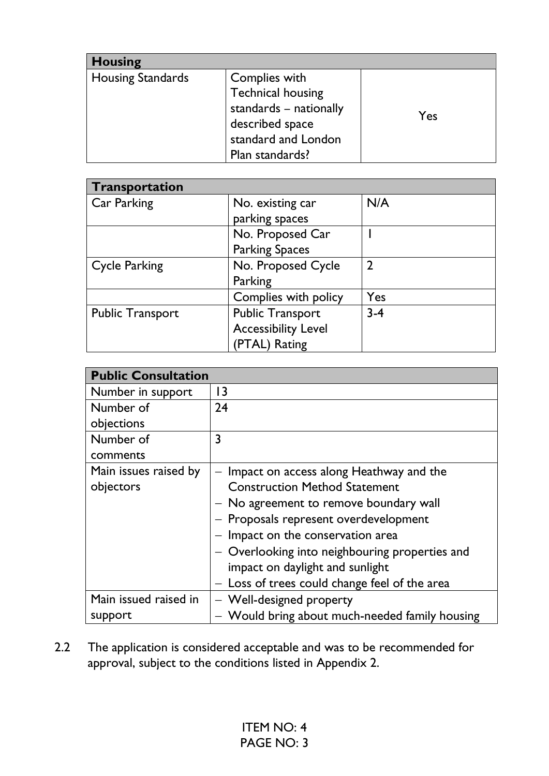| <b>Housing</b>    |                                                                                                                                  |     |
|-------------------|----------------------------------------------------------------------------------------------------------------------------------|-----|
| Housing Standards | Complies with<br><b>Technical housing</b><br>standards - nationally<br>described space<br>standard and London<br>Plan standards? | Yes |

| Transportation          |                            |                |
|-------------------------|----------------------------|----------------|
| Car Parking             | No. existing car           | N/A            |
|                         | parking spaces             |                |
|                         | No. Proposed Car           |                |
|                         | <b>Parking Spaces</b>      |                |
| <b>Cycle Parking</b>    | No. Proposed Cycle         | $\mathfrak{D}$ |
|                         | Parking                    |                |
|                         | Complies with policy       | Yes            |
| <b>Public Transport</b> | <b>Public Transport</b>    | $3 - 4$        |
|                         | <b>Accessibility Level</b> |                |
|                         | (PTAL) Rating              |                |

| <b>Public Consultation</b> |                                                |
|----------------------------|------------------------------------------------|
| Number in support          | $\overline{3}$                                 |
| Number of                  | 24                                             |
| objections                 |                                                |
| Number of                  | 3                                              |
| comments                   |                                                |
| Main issues raised by      | Impact on access along Heathway and the        |
| objectors                  | <b>Construction Method Statement</b>           |
|                            | - No agreement to remove boundary wall         |
|                            | - Proposals represent overdevelopment          |
|                            | Impact on the conservation area                |
|                            | - Overlooking into neighbouring properties and |
|                            | impact on daylight and sunlight                |
|                            | Loss of trees could change feel of the area    |
| Main issued raised in      | - Well-designed property                       |
| support                    | - Would bring about much-needed family housing |

2.2 The application is considered acceptable and was to be recommended for approval, subject to the conditions listed in Appendix 2.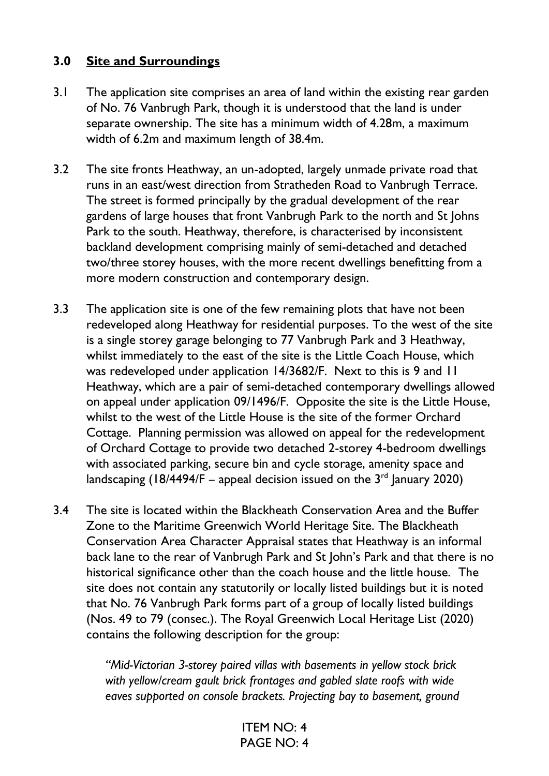#### **3.0 Site and Surroundings**

- 3.1 The application site comprises an area of land within the existing rear garden of No. 76 Vanbrugh Park, though it is understood that the land is under separate ownership. The site has a minimum width of 4.28m, a maximum width of 6.2m and maximum length of 38.4m.
- 3.2 The site fronts Heathway, an un-adopted, largely unmade private road that runs in an east/west direction from Stratheden Road to Vanbrugh Terrace. The street is formed principally by the gradual development of the rear gardens of large houses that front Vanbrugh Park to the north and St Johns Park to the south. Heathway, therefore, is characterised by inconsistent backland development comprising mainly of semi-detached and detached two/three storey houses, with the more recent dwellings benefitting from a more modern construction and contemporary design.
- 3.3 The application site is one of the few remaining plots that have not been redeveloped along Heathway for residential purposes. To the west of the site is a single storey garage belonging to 77 Vanbrugh Park and 3 Heathway, whilst immediately to the east of the site is the Little Coach House, which was redeveloped under application 14/3682/F. Next to this is 9 and 11 Heathway, which are a pair of semi-detached contemporary dwellings allowed on appeal under application 09/1496/F. Opposite the site is the Little House, whilst to the west of the Little House is the site of the former Orchard Cottage. Planning permission was allowed on appeal for the redevelopment of Orchard Cottage to provide two detached 2-storey 4-bedroom dwellings with associated parking, secure bin and cycle storage, amenity space and landscaping (18/4494/F – appeal decision issued on the  $3<sup>rd</sup>$  January 2020)
- 3.4 The site is located within the Blackheath Conservation Area and the Buffer Zone to the Maritime Greenwich World Heritage Site. The Blackheath Conservation Area Character Appraisal states that Heathway is an informal back lane to the rear of Vanbrugh Park and St John's Park and that there is no historical significance other than the coach house and the little house. The site does not contain any statutorily or locally listed buildings but it is noted that No. 76 Vanbrugh Park forms part of a group of locally listed buildings (Nos. 49 to 79 (consec.). The Royal Greenwich Local Heritage List (2020) contains the following description for the group:

*"Mid-Victorian 3-storey paired villas with basements in yellow stock brick with yellow/cream gault brick frontages and gabled slate roofs with wide eaves supported on console brackets. Projecting bay to basement, ground*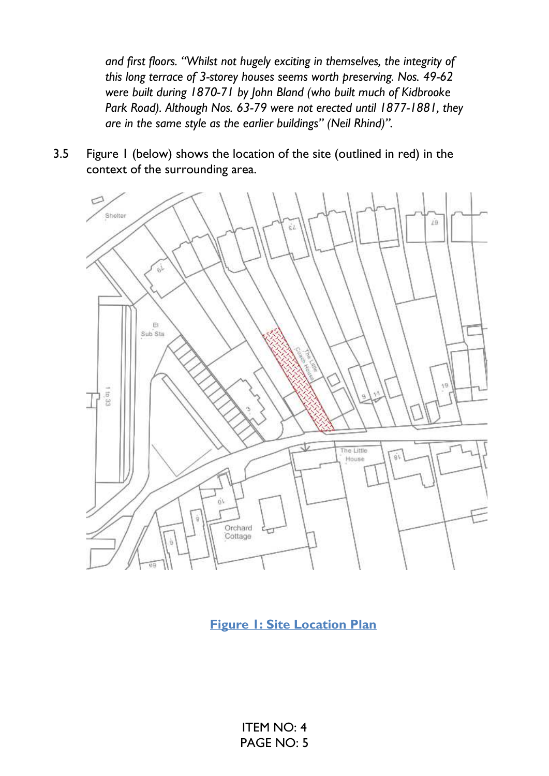*and first floors. "Whilst not hugely exciting in themselves, the integrity of this long terrace of 3-storey houses seems worth preserving. Nos. 49-62 were built during 1870-71 by John Bland (who built much of Kidbrooke Park Road). Although Nos. 63-79 were not erected until 1877-1881, they are in the same style as the earlier buildings" (Neil Rhind)".*

3.5 Figure 1 (below) shows the location of the site (outlined in red) in the context of the surrounding area.



**Figure 1: Site Location Plan**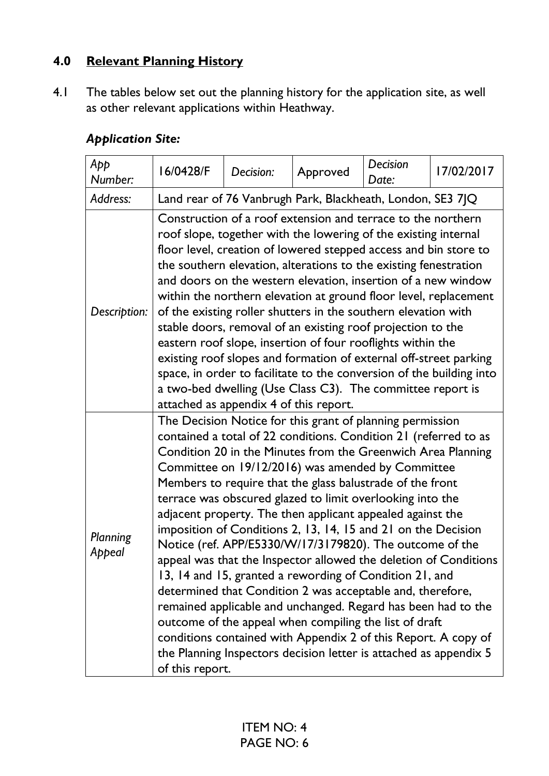## **4.0 Relevant Planning History**

4.1 The tables below set out the planning history for the application site, as well as other relevant applications within Heathway.

## *Application Site:*

| App<br>Number:     | 16/0428/F                                                                                                                                                                                                                                                                                                                                                                                                                                                                                                                                                                                                                                                                                                                                                                                                                                                                                                                                                                                                                                                 | Decision:                                                  | Approved | Decision<br>Date: | 17/02/2017 |  |  |
|--------------------|-----------------------------------------------------------------------------------------------------------------------------------------------------------------------------------------------------------------------------------------------------------------------------------------------------------------------------------------------------------------------------------------------------------------------------------------------------------------------------------------------------------------------------------------------------------------------------------------------------------------------------------------------------------------------------------------------------------------------------------------------------------------------------------------------------------------------------------------------------------------------------------------------------------------------------------------------------------------------------------------------------------------------------------------------------------|------------------------------------------------------------|----------|-------------------|------------|--|--|
| Address:           |                                                                                                                                                                                                                                                                                                                                                                                                                                                                                                                                                                                                                                                                                                                                                                                                                                                                                                                                                                                                                                                           | Land rear of 76 Vanbrugh Park, Blackheath, London, SE3 7JQ |          |                   |            |  |  |
| Description:       | Construction of a roof extension and terrace to the northern<br>roof slope, together with the lowering of the existing internal<br>floor level, creation of lowered stepped access and bin store to<br>the southern elevation, alterations to the existing fenestration<br>and doors on the western elevation, insertion of a new window<br>within the northern elevation at ground floor level, replacement<br>of the existing roller shutters in the southern elevation with<br>stable doors, removal of an existing roof projection to the<br>eastern roof slope, insertion of four rooflights within the<br>existing roof slopes and formation of external off-street parking<br>space, in order to facilitate to the conversion of the building into<br>a two-bed dwelling (Use Class C3). The committee report is<br>attached as appendix 4 of this report.                                                                                                                                                                                         |                                                            |          |                   |            |  |  |
| Planning<br>Appeal | The Decision Notice for this grant of planning permission<br>contained a total of 22 conditions. Condition 21 (referred to as<br>Condition 20 in the Minutes from the Greenwich Area Planning<br>Committee on 19/12/2016) was amended by Committee<br>Members to require that the glass balustrade of the front<br>terrace was obscured glazed to limit overlooking into the<br>adjacent property. The then applicant appealed against the<br>imposition of Conditions 2, 13, 14, 15 and 21 on the Decision<br>Notice (ref. APP/E5330/W/17/3179820). The outcome of the<br>appeal was that the Inspector allowed the deletion of Conditions<br>13, 14 and 15, granted a rewording of Condition 21, and<br>determined that Condition 2 was acceptable and, therefore,<br>remained applicable and unchanged. Regard has been had to the<br>outcome of the appeal when compiling the list of draft<br>conditions contained with Appendix 2 of this Report. A copy of<br>the Planning Inspectors decision letter is attached as appendix 5<br>of this report. |                                                            |          |                   |            |  |  |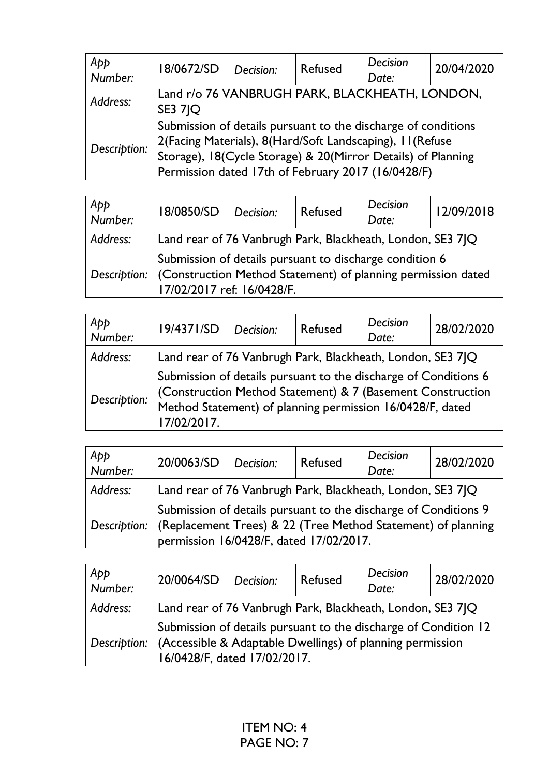| App<br>Number: | 18/0672/SD                                                                                                                                                                                                                                      | Decision: | <b>Refused</b> | <b>Decision</b><br>Date: | 20/04/2020 |
|----------------|-------------------------------------------------------------------------------------------------------------------------------------------------------------------------------------------------------------------------------------------------|-----------|----------------|--------------------------|------------|
| Address:       | Land r/o 76 VANBRUGH PARK, BLACKHEATH, LONDON,<br><b>SE3 7IQ</b>                                                                                                                                                                                |           |                |                          |            |
| Description:   | Submission of details pursuant to the discharge of conditions<br>2(Facing Materials), 8(Hard/Soft Landscaping), 11(Refuse<br>Storage), 18(Cycle Storage) & 20(Mirror Details) of Planning<br>Permission dated 17th of February 2017 (16/0428/F) |           |                |                          |            |

| Арр<br>Number: | 18/0850/SD                                                                  | Decision: | Refused | Decision<br>Date: | 12/09/2018 |
|----------------|-----------------------------------------------------------------------------|-----------|---------|-------------------|------------|
| Address:       | Land rear of 76 Vanbrugh Park, Blackheath, London, SE3 7 Q                  |           |         |                   |            |
|                | Submission of details pursuant to discharge condition 6                     |           |         |                   |            |
|                | Description:   (Construction Method Statement) of planning permission dated |           |         |                   |            |
|                | 17/02/2017 ref: 16/0428/F.                                                  |           |         |                   |            |

| App<br>Number: | 19/4371/SD                                                                                                                                                                                                | Decision: | <b>Refused</b> | Decision<br>Date: | 28/02/2020 |
|----------------|-----------------------------------------------------------------------------------------------------------------------------------------------------------------------------------------------------------|-----------|----------------|-------------------|------------|
| Address:       | Land rear of 76 Vanbrugh Park, Blackheath, London, SE3 7JQ                                                                                                                                                |           |                |                   |            |
| Description:   | Submission of details pursuant to the discharge of Conditions 6<br>(Construction Method Statement) & 7 (Basement Construction<br>Method Statement) of planning permission 16/0428/F, dated<br>17/02/2017. |           |                |                   |            |

| App<br>Number: | 20/0063/SD                                                                                                                      | Decision: | Refused | Decision<br>Date: | 28/02/2020 |
|----------------|---------------------------------------------------------------------------------------------------------------------------------|-----------|---------|-------------------|------------|
| Address:       | Land rear of 76 Vanbrugh Park, Blackheath, London, SE3 7 Q                                                                      |           |         |                   |            |
| Description:   | Submission of details pursuant to the discharge of Conditions 9<br>(Replacement Trees) & 22 (Tree Method Statement) of planning |           |         |                   |            |
|                | permission 16/0428/F, dated 17/02/2017.                                                                                         |           |         |                   |            |

| App<br>  Number: | 20/0064/SD                                                                                                                   | Decision: | Refused | Decision<br>Date: | 28/02/2020 |  |
|------------------|------------------------------------------------------------------------------------------------------------------------------|-----------|---------|-------------------|------------|--|
| Address:         | Land rear of 76 Vanbrugh Park, Blackheath, London, SE3 7 Q                                                                   |           |         |                   |            |  |
| Description:     | Submission of details pursuant to the discharge of Condition 12<br>(Accessible & Adaptable Dwellings) of planning permission |           |         |                   |            |  |
|                  | 16/0428/F, dated 17/02/2017.                                                                                                 |           |         |                   |            |  |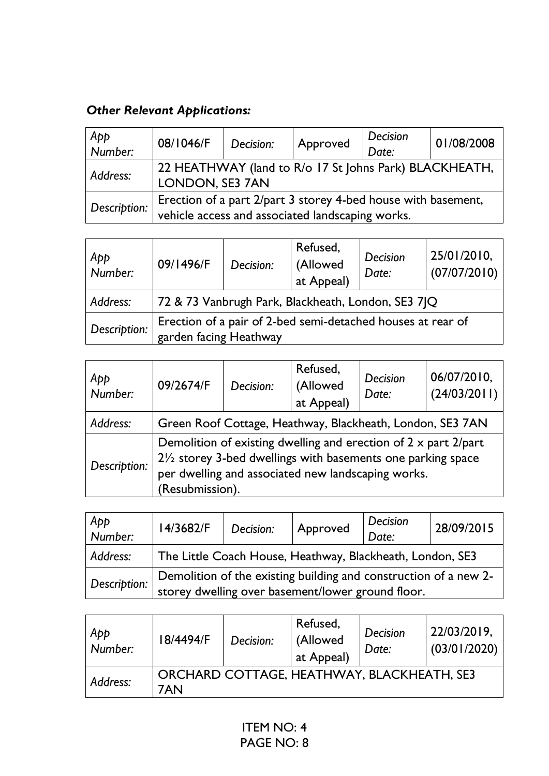# *Other Relevant Applications:*

| App<br>$\overline{\phantom{a}}$ Number: | 08/1046/F                                                                                                         | Decision: | Approved | Decision<br>Date: | 01/08/2008 |  |
|-----------------------------------------|-------------------------------------------------------------------------------------------------------------------|-----------|----------|-------------------|------------|--|
| Address:                                | 22 HEATHWAY (land to R/o 17 St Johns Park) BLACKHEATH,<br>LONDON, SE3 7AN                                         |           |          |                   |            |  |
| Description:                            | Erection of a part 2/part 3 storey 4-bed house with basement,<br>vehicle access and associated landscaping works. |           |          |                   |            |  |

| App<br>Number: | 09/1496/F                                                                             | Decision: | Refused,<br>(Allowed<br>at Appeal) | Decision<br>Date: | 25/01/2010,<br>(07/07/2010) |
|----------------|---------------------------------------------------------------------------------------|-----------|------------------------------------|-------------------|-----------------------------|
| Address:       | 72 & 73 Vanbrugh Park, Blackheath, London, SE3 7JQ                                    |           |                                    |                   |                             |
| Description:   | Erection of a pair of 2-bed semi-detached houses at rear of<br>garden facing Heathway |           |                                    |                   |                             |

| App<br>Number: | 09/2674/F                                                                                                                                                                                                                    | Decision: | Refused,<br>(Allowed<br>at Appeal) | Decision<br>Date: | 06/07/2010,<br>(24/03/2011) |
|----------------|------------------------------------------------------------------------------------------------------------------------------------------------------------------------------------------------------------------------------|-----------|------------------------------------|-------------------|-----------------------------|
| Address:       | Green Roof Cottage, Heathway, Blackheath, London, SE3 7AN                                                                                                                                                                    |           |                                    |                   |                             |
| Description:   | Demolition of existing dwelling and erection of $2 \times$ part $2$ /part<br>$2\frac{1}{2}$ storey 3-bed dwellings with basements one parking space<br>per dwelling and associated new landscaping works.<br>(Resubmission). |           |                                    |                   |                             |

| App<br>$\overline{\phantom{a}}$ Number: | 14/3682/F                                                                                                             | Decision: | Approved | Decision<br>Date: | 28/09/2015 |
|-----------------------------------------|-----------------------------------------------------------------------------------------------------------------------|-----------|----------|-------------------|------------|
| Address:                                | The Little Coach House, Heathway, Blackheath, London, SE3                                                             |           |          |                   |            |
| Description:                            | Demolition of the existing building and construction of a new 2-<br>storey dwelling over basement/lower ground floor. |           |          |                   |            |

| App<br>Number: | 8/4494/F | Decision: | Refused,<br>(Allowed<br>at Appeal)         | Decision<br>Date: | 22/03/2019,<br>(03/01/2020) |
|----------------|----------|-----------|--------------------------------------------|-------------------|-----------------------------|
| Address:       | 7AN      |           | ORCHARD COTTAGE, HEATHWAY, BLACKHEATH, SE3 |                   |                             |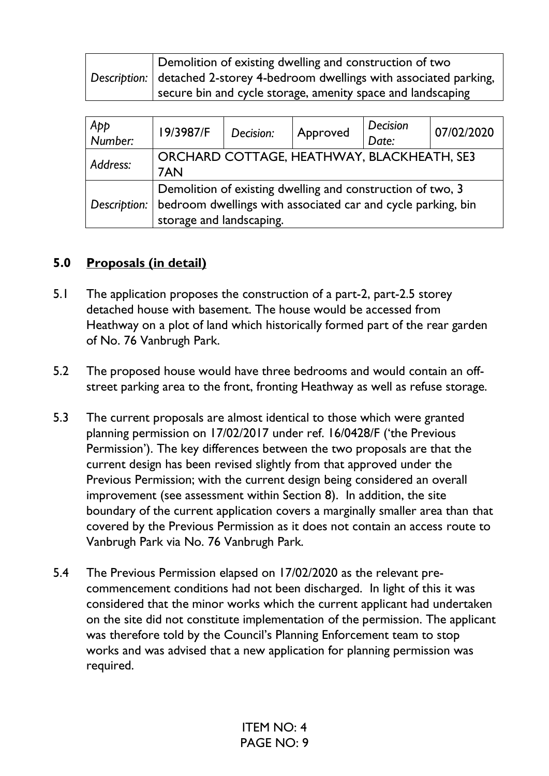| Demolition of existing dwelling and construction of two<br>Description: detached 2-storey 4-bedroom dwellings with associated parking, |
|----------------------------------------------------------------------------------------------------------------------------------------|
| secure bin and cycle storage, amenity space and landscaping                                                                            |

| Арр<br>Number: | 19/3987/F                                                                                                                                              | Decision: | Approved | Decision<br>Date: | 07/02/2020 |
|----------------|--------------------------------------------------------------------------------------------------------------------------------------------------------|-----------|----------|-------------------|------------|
| Address:       | ORCHARD COTTAGE, HEATHWAY, BLACKHEATH, SE3<br>7AN                                                                                                      |           |          |                   |            |
| Description:   | Demolition of existing dwelling and construction of two, 3<br>bedroom dwellings with associated car and cycle parking, bin<br>storage and landscaping. |           |          |                   |            |

## **5.0 Proposals (in detail)**

- 5.1 The application proposes the construction of a part-2, part-2.5 storey detached house with basement. The house would be accessed from Heathway on a plot of land which historically formed part of the rear garden of No. 76 Vanbrugh Park.
- 5.2 The proposed house would have three bedrooms and would contain an offstreet parking area to the front, fronting Heathway as well as refuse storage.
- 5.3 The current proposals are almost identical to those which were granted planning permission on 17/02/2017 under ref. 16/0428/F ('the Previous Permission'). The key differences between the two proposals are that the current design has been revised slightly from that approved under the Previous Permission; with the current design being considered an overall improvement (see assessment within Section 8). In addition, the site boundary of the current application covers a marginally smaller area than that covered by the Previous Permission as it does not contain an access route to Vanbrugh Park via No. 76 Vanbrugh Park.
- 5.4 The Previous Permission elapsed on 17/02/2020 as the relevant precommencement conditions had not been discharged. In light of this it was considered that the minor works which the current applicant had undertaken on the site did not constitute implementation of the permission. The applicant was therefore told by the Council's Planning Enforcement team to stop works and was advised that a new application for planning permission was required.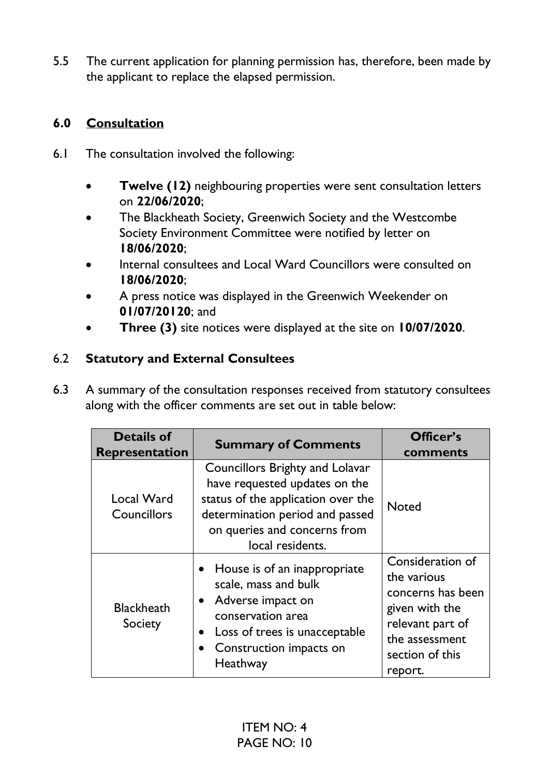5.5 The current application for planning permission has, therefore, been made by the applicant to replace the elapsed permission.

### **6.0 Consultation**

- 6.1 The consultation involved the following:
	- **Twelve (12)** neighbouring properties were sent consultation letters on **22/06/2020**;
	- The Blackheath Society, Greenwich Society and the Westcombe Society Environment Committee were notified by letter on **18/06/2020**;
	- Internal consultees and Local Ward Councillors were consulted on **18/06/2020**;
	- A press notice was displayed in the Greenwich Weekender on **01/07/20120**; and
	- **Three (3)** site notices were displayed at the site on **10/07/2020**.

#### 6.2 **Statutory and External Consultees**

6.3 A summary of the consultation responses received from statutory consultees along with the officer comments are set out in table below:

| <b>Details of</b><br><b>Representation</b> | <b>Summary of Comments</b>                                                                                                                                                                           | Officer's<br>comments                                                                                                                      |
|--------------------------------------------|------------------------------------------------------------------------------------------------------------------------------------------------------------------------------------------------------|--------------------------------------------------------------------------------------------------------------------------------------------|
| Local Ward<br>Councillors                  | <b>Councillors Brighty and Lolavar</b><br>have requested updates on the<br>status of the application over the<br>determination period and passed<br>on queries and concerns from<br>local residents. | <b>Noted</b>                                                                                                                               |
| <b>Blackheath</b><br>Society               | • House is of an inappropriate<br>scale, mass and bulk<br>• Adverse impact on<br>conservation area<br>Loss of trees is unacceptable<br>Construction impacts on<br>Heathway                           | Consideration of<br>the various<br>concerns has been<br>given with the<br>relevant part of<br>the assessment<br>section of this<br>report. |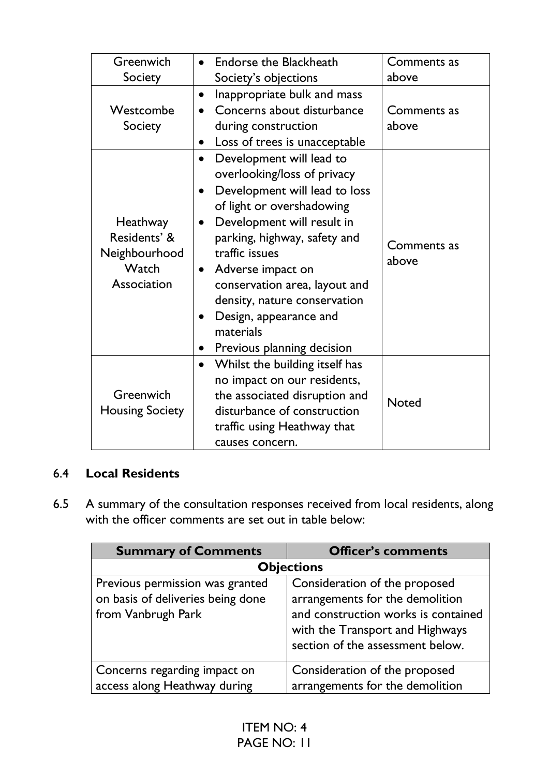| Greenwich                                                         | <b>Endorse the Blackheath</b>                                                                                                                                                                                                                                                                                                                                                              | Comments as          |
|-------------------------------------------------------------------|--------------------------------------------------------------------------------------------------------------------------------------------------------------------------------------------------------------------------------------------------------------------------------------------------------------------------------------------------------------------------------------------|----------------------|
| Society                                                           | Society's objections                                                                                                                                                                                                                                                                                                                                                                       | above                |
| Westcombe<br>Society                                              | Inappropriate bulk and mass<br>Concerns about disturbance<br>during construction<br>Loss of trees is unacceptable                                                                                                                                                                                                                                                                          | Comments as<br>above |
| Heathway<br>Residents' &<br>Neighbourhood<br>Watch<br>Association | Development will lead to<br>overlooking/loss of privacy<br>Development will lead to loss<br>of light or overshadowing<br>Development will result in<br>$\bullet$<br>parking, highway, safety and<br>traffic issues<br>Adverse impact on<br>$\bullet$<br>conservation area, layout and<br>density, nature conservation<br>Design, appearance and<br>materials<br>Previous planning decision | Comments as<br>above |
| Greenwich<br><b>Housing Society</b>                               | Whilst the building itself has<br>$\bullet$<br>no impact on our residents,<br>the associated disruption and<br>disturbance of construction<br>traffic using Heathway that<br>causes concern.                                                                                                                                                                                               | <b>Noted</b>         |

### 6.4 **Local Residents**

6.5 A summary of the consultation responses received from local residents, along with the officer comments are set out in table below:

| <b>Summary of Comments</b>                                                                 | <b>Officer's comments</b>                                                                                                                                                      |  |  |  |  |
|--------------------------------------------------------------------------------------------|--------------------------------------------------------------------------------------------------------------------------------------------------------------------------------|--|--|--|--|
|                                                                                            | <b>Objections</b>                                                                                                                                                              |  |  |  |  |
| Previous permission was granted<br>on basis of deliveries being done<br>from Vanbrugh Park | Consideration of the proposed<br>arrangements for the demolition<br>and construction works is contained<br>with the Transport and Highways<br>section of the assessment below. |  |  |  |  |
| Concerns regarding impact on<br>access along Heathway during                               | Consideration of the proposed<br>arrangements for the demolition                                                                                                               |  |  |  |  |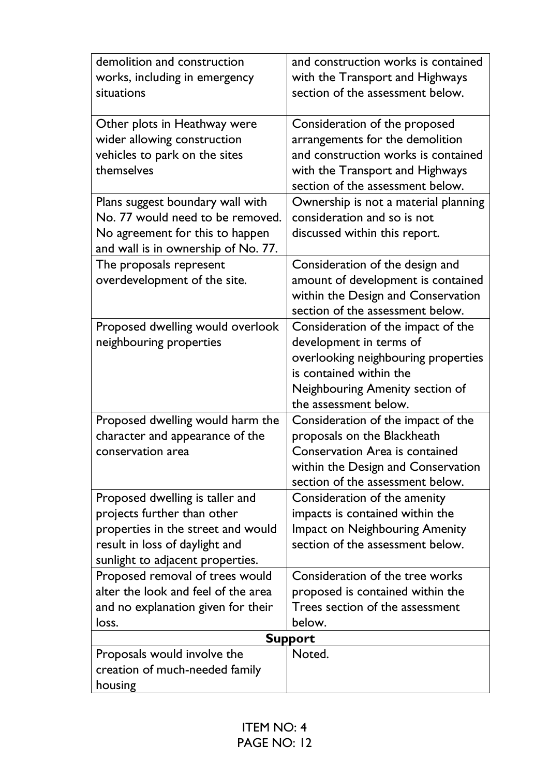| demolition and construction         | and construction works is contained                                    |
|-------------------------------------|------------------------------------------------------------------------|
| works, including in emergency       | with the Transport and Highways                                        |
| situations                          | section of the assessment below.                                       |
| Other plots in Heathway were        | Consideration of the proposed                                          |
| wider allowing construction         | arrangements for the demolition                                        |
| vehicles to park on the sites       | and construction works is contained                                    |
| themselves                          | with the Transport and Highways                                        |
|                                     | section of the assessment below.                                       |
| Plans suggest boundary wall with    | Ownership is not a material planning                                   |
| No. 77 would need to be removed.    | consideration and so is not                                            |
| No agreement for this to happen     | discussed within this report.                                          |
| and wall is in ownership of No. 77. |                                                                        |
| The proposals represent             | Consideration of the design and                                        |
| overdevelopment of the site.        | amount of development is contained                                     |
|                                     | within the Design and Conservation<br>section of the assessment below. |
| Proposed dwelling would overlook    | Consideration of the impact of the                                     |
| neighbouring properties             | development in terms of                                                |
|                                     | overlooking neighbouring properties                                    |
|                                     | is contained within the                                                |
|                                     | Neighbouring Amenity section of                                        |
|                                     | the assessment below.                                                  |
| Proposed dwelling would harm the    | Consideration of the impact of the                                     |
| character and appearance of the     | proposals on the Blackheath                                            |
| conservation area                   | <b>Conservation Area is contained</b>                                  |
|                                     | within the Design and Conservation                                     |
|                                     | section of the assessment below.                                       |
| Proposed dwelling is taller and     | Consideration of the amenity                                           |
| projects further than other         | impacts is contained within the                                        |
| properties in the street and would  | <b>Impact on Neighbouring Amenity</b>                                  |
| result in loss of daylight and      | section of the assessment below.                                       |
| sunlight to adjacent properties.    |                                                                        |
| Proposed removal of trees would     | Consideration of the tree works                                        |
| alter the look and feel of the area | proposed is contained within the                                       |
| and no explanation given for their  | Trees section of the assessment                                        |
| loss.                               | below.                                                                 |
| Proposals would involve the         | <b>Support</b><br>Noted.                                               |
| creation of much-needed family      |                                                                        |
| housing                             |                                                                        |
|                                     |                                                                        |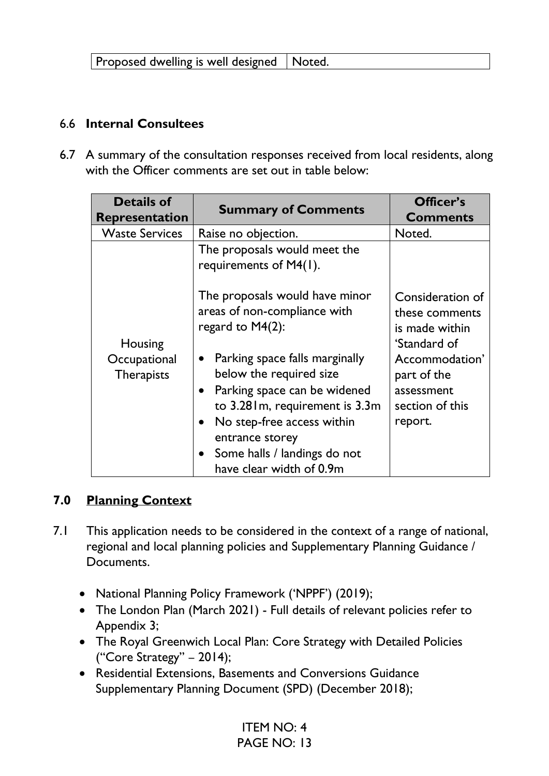#### 6.6 **Internal Consultees**

6.7 A summary of the consultation responses received from local residents, along with the Officer comments are set out in table below:

| <b>Details of</b><br><b>Representation</b> | <b>Summary of Comments</b>                                                                                                                                                                                                                                                        | Officer's<br><b>Comments</b>                                              |
|--------------------------------------------|-----------------------------------------------------------------------------------------------------------------------------------------------------------------------------------------------------------------------------------------------------------------------------------|---------------------------------------------------------------------------|
| <b>Waste Services</b>                      | Raise no objection.                                                                                                                                                                                                                                                               | Noted.                                                                    |
| Housing                                    | The proposals would meet the<br>requirements of M4(1).                                                                                                                                                                                                                            |                                                                           |
|                                            | The proposals would have minor<br>areas of non-compliance with<br>regard to M4(2):                                                                                                                                                                                                | Consideration of<br>these comments<br>is made within<br>'Standard of      |
| Occupational<br><b>Therapists</b>          | Parking space falls marginally<br>$\bullet$<br>below the required size<br>• Parking space can be widened<br>to 3.28 m, requirement is 3.3m<br>No step-free access within<br>$\bullet$<br>entrance storey<br>Some halls / landings do not<br>$\bullet$<br>have clear width of 0.9m | Accommodation'<br>part of the<br>assessment<br>section of this<br>report. |

#### **7.0 Planning Context**

- 7.1 This application needs to be considered in the context of a range of national, regional and local planning policies and Supplementary Planning Guidance / Documents.
	- National Planning Policy Framework ('NPPF') (2019);
	- The London Plan (March 2021) Full details of relevant policies refer to Appendix 3;
	- The Royal Greenwich Local Plan: Core Strategy with Detailed Policies ("Core Strategy" – 2014);
	- Residential Extensions, Basements and Conversions Guidance Supplementary Planning Document (SPD) (December 2018);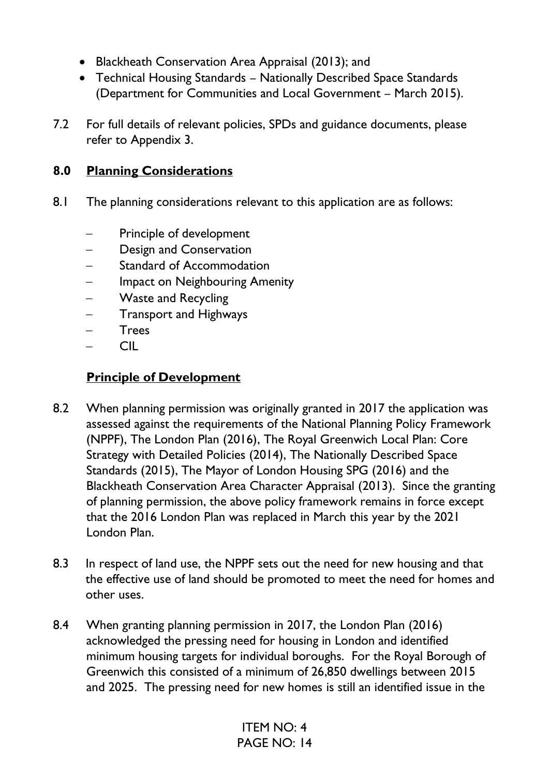- Blackheath Conservation Area Appraisal (2013); and
- Technical Housing Standards Nationally Described Space Standards (Department for Communities and Local Government – March 2015).
- 7.2 For full details of relevant policies, SPDs and guidance documents, please refer to Appendix 3.

### **8.0 Planning Considerations**

- 8.1 The planning considerations relevant to this application are as follows:
	- Principle of development
	- Design and Conservation
	- Standard of Accommodation
	- Impact on Neighbouring Amenity
	- − Waste and Recycling
	- − Transport and Highways
	- Trees
	- − CIL

## **Principle of Development**

- 8.2 When planning permission was originally granted in 2017 the application was assessed against the requirements of the National Planning Policy Framework (NPPF), The London Plan (2016), The Royal Greenwich Local Plan: Core Strategy with Detailed Policies (2014), The Nationally Described Space Standards (2015), The Mayor of London Housing SPG (2016) and the Blackheath Conservation Area Character Appraisal (2013). Since the granting of planning permission, the above policy framework remains in force except that the 2016 London Plan was replaced in March this year by the 2021 London Plan.
- 8.3 In respect of land use, the NPPF sets out the need for new housing and that the effective use of land should be promoted to meet the need for homes and other uses.
- 8.4 When granting planning permission in 2017, the London Plan (2016) acknowledged the pressing need for housing in London and identified minimum housing targets for individual boroughs. For the Royal Borough of Greenwich this consisted of a minimum of 26,850 dwellings between 2015 and 2025. The pressing need for new homes is still an identified issue in the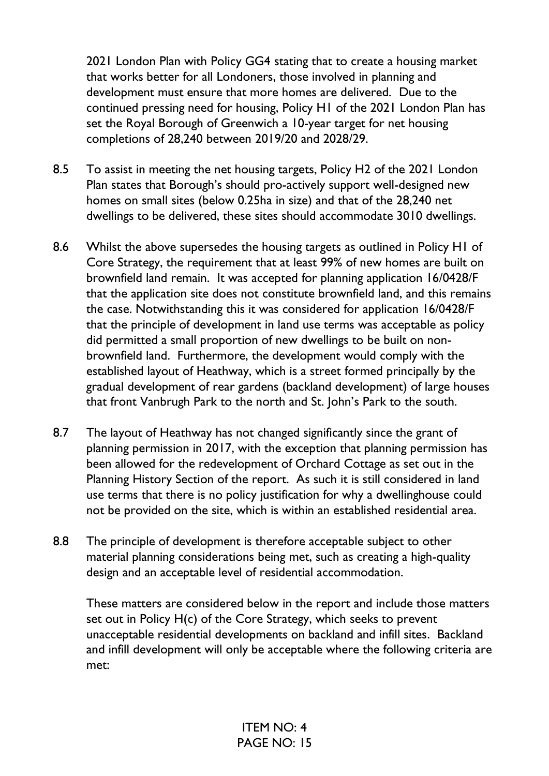2021 London Plan with Policy GG4 stating that to create a housing market that works better for all Londoners, those involved in planning and development must ensure that more homes are delivered. Due to the continued pressing need for housing, Policy H1 of the 2021 London Plan has set the Royal Borough of Greenwich a 10-year target for net housing completions of 28,240 between 2019/20 and 2028/29.

- 8.5 To assist in meeting the net housing targets, Policy H2 of the 2021 London Plan states that Borough's should pro-actively support well-designed new homes on small sites (below 0.25ha in size) and that of the 28,240 net dwellings to be delivered, these sites should accommodate 3010 dwellings.
- 8.6 Whilst the above supersedes the housing targets as outlined in Policy H1 of Core Strategy, the requirement that at least 99% of new homes are built on brownfield land remain. It was accepted for planning application 16/0428/F that the application site does not constitute brownfield land, and this remains the case. Notwithstanding this it was considered for application 16/0428/F that the principle of development in land use terms was acceptable as policy did permitted a small proportion of new dwellings to be built on nonbrownfield land. Furthermore, the development would comply with the established layout of Heathway, which is a street formed principally by the gradual development of rear gardens (backland development) of large houses that front Vanbrugh Park to the north and St. John's Park to the south.
- 8.7 The layout of Heathway has not changed significantly since the grant of planning permission in 2017, with the exception that planning permission has been allowed for the redevelopment of Orchard Cottage as set out in the Planning History Section of the report. As such it is still considered in land use terms that there is no policy justification for why a dwellinghouse could not be provided on the site, which is within an established residential area.
- 8.8 The principle of development is therefore acceptable subject to other material planning considerations being met, such as creating a high-quality design and an acceptable level of residential accommodation.

These matters are considered below in the report and include those matters set out in Policy H(c) of the Core Strategy, which seeks to prevent unacceptable residential developments on backland and infill sites. Backland and infill development will only be acceptable where the following criteria are met: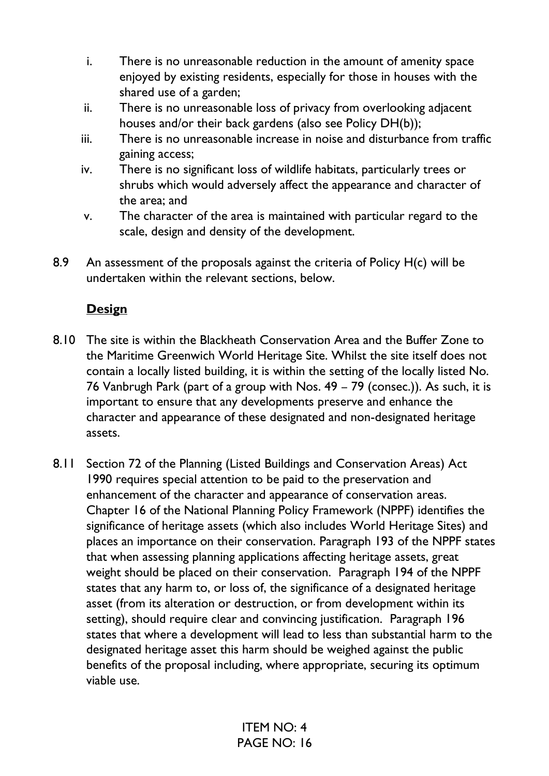- i. There is no unreasonable reduction in the amount of amenity space enjoyed by existing residents, especially for those in houses with the shared use of a garden;
- ii. There is no unreasonable loss of privacy from overlooking adjacent houses and/or their back gardens (also see Policy DH(b));
- iii. There is no unreasonable increase in noise and disturbance from traffic gaining access;
- iv. There is no significant loss of wildlife habitats, particularly trees or shrubs which would adversely affect the appearance and character of the area; and
- v. The character of the area is maintained with particular regard to the scale, design and density of the development.
- 8.9 An assessment of the proposals against the criteria of Policy H(c) will be undertaken within the relevant sections, below.

## **Design**

- 8.10 The site is within the Blackheath Conservation Area and the Buffer Zone to the Maritime Greenwich World Heritage Site. Whilst the site itself does not contain a locally listed building, it is within the setting of the locally listed No. 76 Vanbrugh Park (part of a group with Nos. 49 – 79 (consec.)). As such, it is important to ensure that any developments preserve and enhance the character and appearance of these designated and non-designated heritage assets.
- 8.11 Section 72 of the Planning (Listed Buildings and Conservation Areas) Act 1990 requires special attention to be paid to the preservation and enhancement of the character and appearance of conservation areas. Chapter 16 of the National Planning Policy Framework (NPPF) identifies the significance of heritage assets (which also includes World Heritage Sites) and places an importance on their conservation. Paragraph 193 of the NPPF states that when assessing planning applications affecting heritage assets, great weight should be placed on their conservation. Paragraph 194 of the NPPF states that any harm to, or loss of, the significance of a designated heritage asset (from its alteration or destruction, or from development within its setting), should require clear and convincing justification. Paragraph 196 states that where a development will lead to less than substantial harm to the designated heritage asset this harm should be weighed against the public benefits of the proposal including, where appropriate, securing its optimum viable use.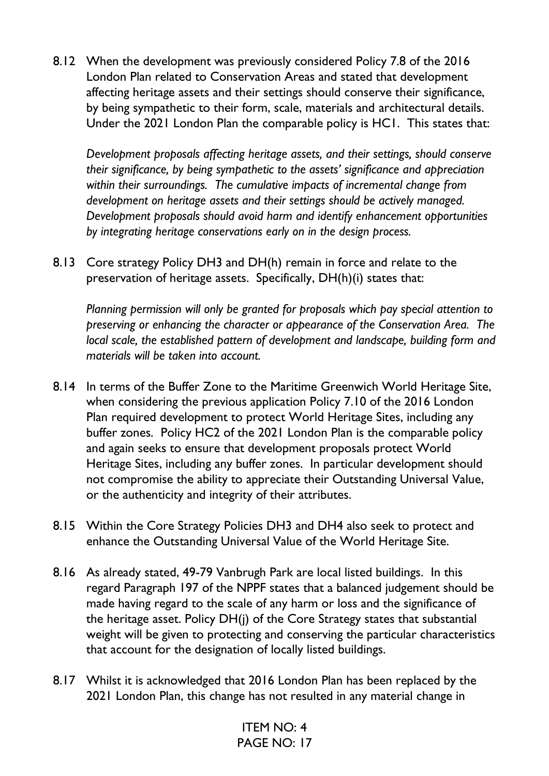8.12 When the development was previously considered Policy 7.8 of the 2016 London Plan related to Conservation Areas and stated that development affecting heritage assets and their settings should conserve their significance, by being sympathetic to their form, scale, materials and architectural details. Under the 2021 London Plan the comparable policy is HC1. This states that:

*Development proposals affecting heritage assets, and their settings, should conserve their significance, by being sympathetic to the assets' significance and appreciation within their surroundings. The cumulative impacts of incremental change from development on heritage assets and their settings should be actively managed. Development proposals should avoid harm and identify enhancement opportunities by integrating heritage conservations early on in the design process.* 

8.13 Core strategy Policy DH3 and DH(h) remain in force and relate to the preservation of heritage assets. Specifically, DH(h)(i) states that:

*Planning permission will only be granted for proposals which pay special attention to preserving or enhancing the character or appearance of the Conservation Area. The local scale, the established pattern of development and landscape, building form and materials will be taken into account.*

- 8.14 In terms of the Buffer Zone to the Maritime Greenwich World Heritage Site, when considering the previous application Policy 7.10 of the 2016 London Plan required development to protect World Heritage Sites, including any buffer zones. Policy HC2 of the 2021 London Plan is the comparable policy and again seeks to ensure that development proposals protect World Heritage Sites, including any buffer zones. In particular development should not compromise the ability to appreciate their Outstanding Universal Value, or the authenticity and integrity of their attributes.
- 8.15 Within the Core Strategy Policies DH3 and DH4 also seek to protect and enhance the Outstanding Universal Value of the World Heritage Site.
- 8.16 As already stated, 49-79 Vanbrugh Park are local listed buildings. In this regard Paragraph 197 of the NPPF states that a balanced judgement should be made having regard to the scale of any harm or loss and the significance of the heritage asset. Policy DH(j) of the Core Strategy states that substantial weight will be given to protecting and conserving the particular characteristics that account for the designation of locally listed buildings.
- 8.17 Whilst it is acknowledged that 2016 London Plan has been replaced by the 2021 London Plan, this change has not resulted in any material change in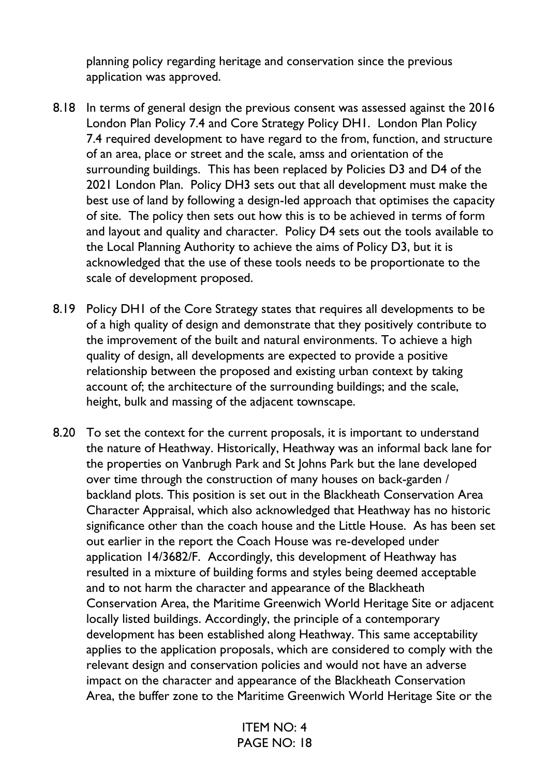planning policy regarding heritage and conservation since the previous application was approved.

- 8.18 In terms of general design the previous consent was assessed against the 2016 London Plan Policy 7.4 and Core Strategy Policy DH1. London Plan Policy 7.4 required development to have regard to the from, function, and structure of an area, place or street and the scale, amss and orientation of the surrounding buildings. This has been replaced by Policies D3 and D4 of the 2021 London Plan. Policy DH3 sets out that all development must make the best use of land by following a design-led approach that optimises the capacity of site. The policy then sets out how this is to be achieved in terms of form and layout and quality and character. Policy D4 sets out the tools available to the Local Planning Authority to achieve the aims of Policy D3, but it is acknowledged that the use of these tools needs to be proportionate to the scale of development proposed.
- 8.19 Policy DH1 of the Core Strategy states that requires all developments to be of a high quality of design and demonstrate that they positively contribute to the improvement of the built and natural environments. To achieve a high quality of design, all developments are expected to provide a positive relationship between the proposed and existing urban context by taking account of; the architecture of the surrounding buildings; and the scale, height, bulk and massing of the adjacent townscape.
- 8.20 To set the context for the current proposals, it is important to understand the nature of Heathway. Historically, Heathway was an informal back lane for the properties on Vanbrugh Park and St Johns Park but the lane developed over time through the construction of many houses on back-garden / backland plots. This position is set out in the Blackheath Conservation Area Character Appraisal, which also acknowledged that Heathway has no historic significance other than the coach house and the Little House. As has been set out earlier in the report the Coach House was re-developed under application 14/3682/F. Accordingly, this development of Heathway has resulted in a mixture of building forms and styles being deemed acceptable and to not harm the character and appearance of the Blackheath Conservation Area, the Maritime Greenwich World Heritage Site or adjacent locally listed buildings. Accordingly, the principle of a contemporary development has been established along Heathway. This same acceptability applies to the application proposals, which are considered to comply with the relevant design and conservation policies and would not have an adverse impact on the character and appearance of the Blackheath Conservation Area, the buffer zone to the Maritime Greenwich World Heritage Site or the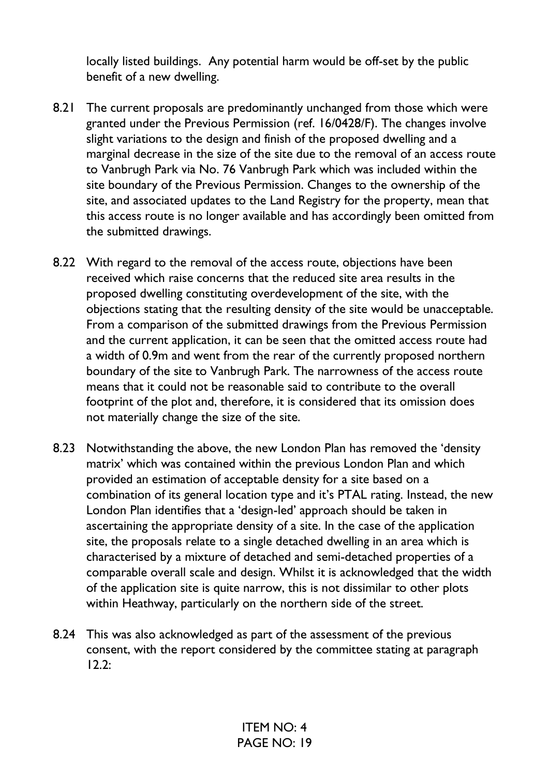locally listed buildings. Any potential harm would be off-set by the public benefit of a new dwelling.

- 8.21 The current proposals are predominantly unchanged from those which were granted under the Previous Permission (ref. 16/0428/F). The changes involve slight variations to the design and finish of the proposed dwelling and a marginal decrease in the size of the site due to the removal of an access route to Vanbrugh Park via No. 76 Vanbrugh Park which was included within the site boundary of the Previous Permission. Changes to the ownership of the site, and associated updates to the Land Registry for the property, mean that this access route is no longer available and has accordingly been omitted from the submitted drawings.
- 8.22 With regard to the removal of the access route, objections have been received which raise concerns that the reduced site area results in the proposed dwelling constituting overdevelopment of the site, with the objections stating that the resulting density of the site would be unacceptable. From a comparison of the submitted drawings from the Previous Permission and the current application, it can be seen that the omitted access route had a width of 0.9m and went from the rear of the currently proposed northern boundary of the site to Vanbrugh Park. The narrowness of the access route means that it could not be reasonable said to contribute to the overall footprint of the plot and, therefore, it is considered that its omission does not materially change the size of the site.
- 8.23 Notwithstanding the above, the new London Plan has removed the 'density matrix' which was contained within the previous London Plan and which provided an estimation of acceptable density for a site based on a combination of its general location type and it's PTAL rating. Instead, the new London Plan identifies that a 'design-led' approach should be taken in ascertaining the appropriate density of a site. In the case of the application site, the proposals relate to a single detached dwelling in an area which is characterised by a mixture of detached and semi-detached properties of a comparable overall scale and design. Whilst it is acknowledged that the width of the application site is quite narrow, this is not dissimilar to other plots within Heathway, particularly on the northern side of the street.
- 8.24 This was also acknowledged as part of the assessment of the previous consent, with the report considered by the committee stating at paragraph 12.2: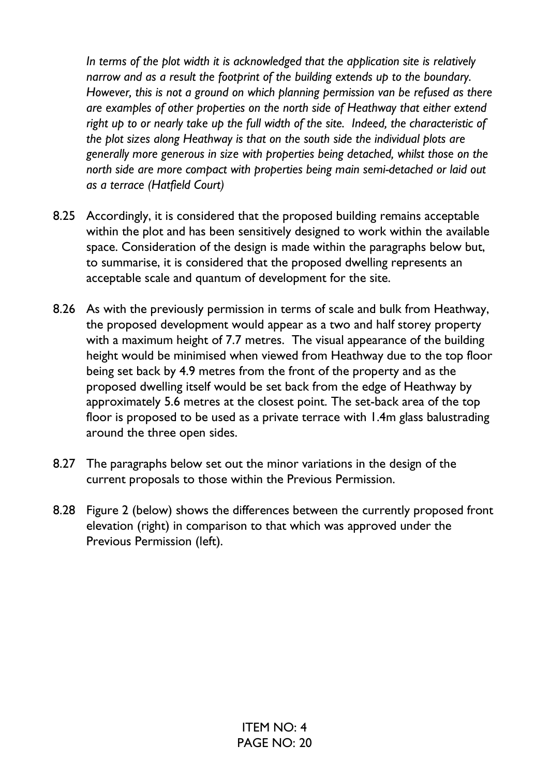*In terms of the plot width it is acknowledged that the application site is relatively narrow and as a result the footprint of the building extends up to the boundary. However, this is not a ground on which planning permission van be refused as there are examples of other properties on the north side of Heathway that either extend right up to or nearly take up the full width of the site. Indeed, the characteristic of the plot sizes along Heathway is that on the south side the individual plots are generally more generous in size with properties being detached, whilst those on the north side are more compact with properties being main semi-detached or laid out as a terrace (Hatfield Court)* 

- 8.25 Accordingly, it is considered that the proposed building remains acceptable within the plot and has been sensitively designed to work within the available space. Consideration of the design is made within the paragraphs below but, to summarise, it is considered that the proposed dwelling represents an acceptable scale and quantum of development for the site.
- 8.26 As with the previously permission in terms of scale and bulk from Heathway, the proposed development would appear as a two and half storey property with a maximum height of 7.7 metres. The visual appearance of the building height would be minimised when viewed from Heathway due to the top floor being set back by 4.9 metres from the front of the property and as the proposed dwelling itself would be set back from the edge of Heathway by approximately 5.6 metres at the closest point. The set-back area of the top floor is proposed to be used as a private terrace with 1.4m glass balustrading around the three open sides.
- 8.27 The paragraphs below set out the minor variations in the design of the current proposals to those within the Previous Permission.
- 8.28 Figure 2 (below) shows the differences between the currently proposed front elevation (right) in comparison to that which was approved under the Previous Permission (left).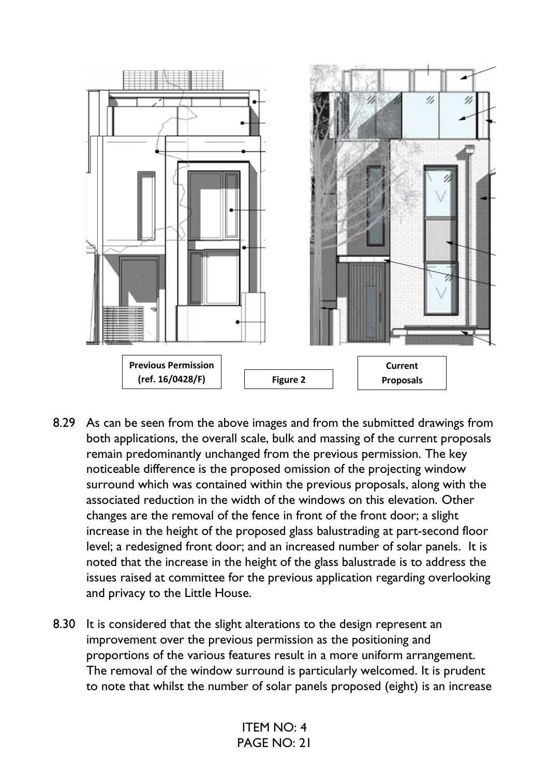

- 8.29 As can be seen from the above images and from the submitted drawings from both applications, the overall scale, bulk and massing of the current proposals remain predominantly unchanged from the previous permission. The key noticeable difference is the proposed omission of the projecting window surround which was contained within the previous proposals, along with the associated reduction in the width of the windows on this elevation. Other changes are the removal of the fence in front of the front door; a slight increase in the height of the proposed glass balustrading at part-second floor level; a redesigned front door; and an increased number of solar panels. It is noted that the increase in the height of the glass balustrade is to address the issues raised at committee for the previous application regarding overlooking and privacy to the Little House.
- 8.30 It is considered that the slight alterations to the design represent an improvement over the previous permission as the positioning and proportions of the various features result in a more uniform arrangement. The removal of the window surround is particularly welcomed. It is prudent to note that whilst the number of solar panels proposed (eight) is an increase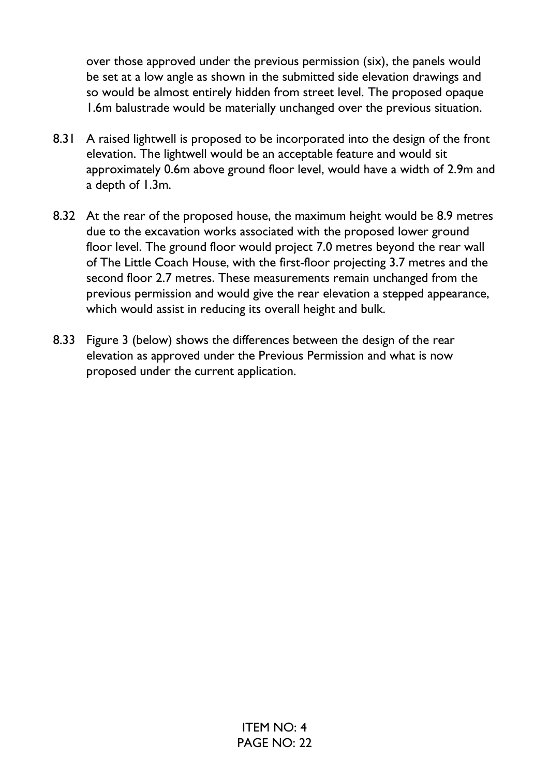over those approved under the previous permission (six), the panels would be set at a low angle as shown in the submitted side elevation drawings and so would be almost entirely hidden from street level. The proposed opaque 1.6m balustrade would be materially unchanged over the previous situation.

- 8.31 A raised lightwell is proposed to be incorporated into the design of the front elevation. The lightwell would be an acceptable feature and would sit approximately 0.6m above ground floor level, would have a width of 2.9m and a depth of 1.3m.
- 8.32 At the rear of the proposed house, the maximum height would be 8.9 metres due to the excavation works associated with the proposed lower ground floor level. The ground floor would project 7.0 metres beyond the rear wall of The Little Coach House, with the first-floor projecting 3.7 metres and the second floor 2.7 metres. These measurements remain unchanged from the previous permission and would give the rear elevation a stepped appearance, which would assist in reducing its overall height and bulk.
- 8.33 Figure 3 (below) shows the differences between the design of the rear elevation as approved under the Previous Permission and what is now proposed under the current application.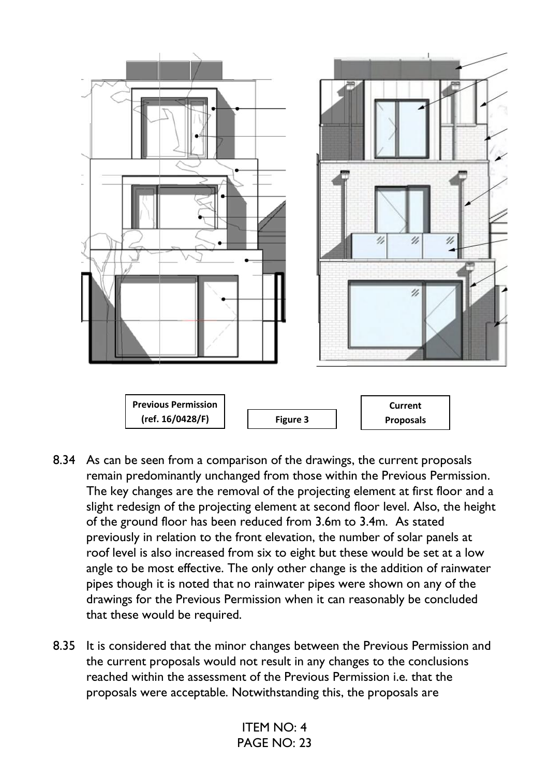

- 8.34 As can be seen from a comparison of the drawings, the current proposals remain predominantly unchanged from those within the Previous Permission. The key changes are the removal of the projecting element at first floor and a slight redesign of the projecting element at second floor level. Also, the height of the ground floor has been reduced from 3.6m to 3.4m. As stated previously in relation to the front elevation, the number of solar panels at roof level is also increased from six to eight but these would be set at a low angle to be most effective. The only other change is the addition of rainwater pipes though it is noted that no rainwater pipes were shown on any of the drawings for the Previous Permission when it can reasonably be concluded that these would be required.
- 8.35 It is considered that the minor changes between the Previous Permission and the current proposals would not result in any changes to the conclusions reached within the assessment of the Previous Permission i.e. that the proposals were acceptable. Notwithstanding this, the proposals are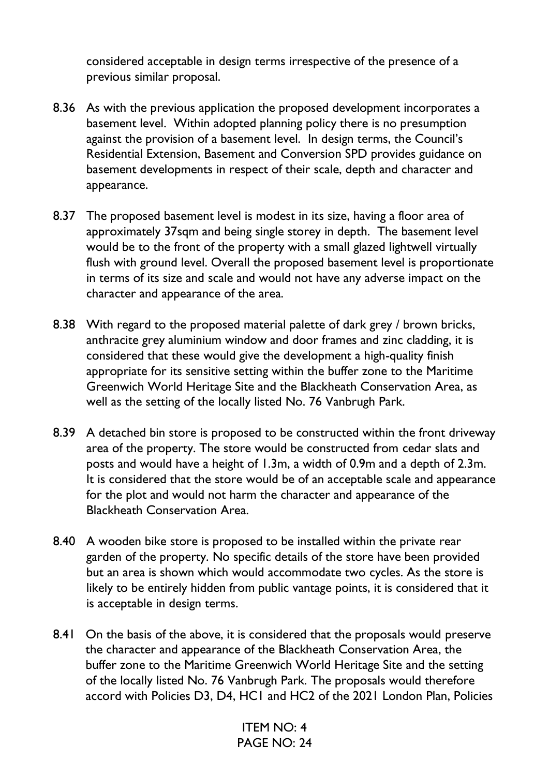considered acceptable in design terms irrespective of the presence of a previous similar proposal.

- 8.36 As with the previous application the proposed development incorporates a basement level. Within adopted planning policy there is no presumption against the provision of a basement level. In design terms, the Council's Residential Extension, Basement and Conversion SPD provides guidance on basement developments in respect of their scale, depth and character and appearance.
- 8.37 The proposed basement level is modest in its size, having a floor area of approximately 37sqm and being single storey in depth. The basement level would be to the front of the property with a small glazed lightwell virtually flush with ground level. Overall the proposed basement level is proportionate in terms of its size and scale and would not have any adverse impact on the character and appearance of the area.
- 8.38 With regard to the proposed material palette of dark grey / brown bricks, anthracite grey aluminium window and door frames and zinc cladding, it is considered that these would give the development a high-quality finish appropriate for its sensitive setting within the buffer zone to the Maritime Greenwich World Heritage Site and the Blackheath Conservation Area, as well as the setting of the locally listed No. 76 Vanbrugh Park.
- 8.39 A detached bin store is proposed to be constructed within the front driveway area of the property. The store would be constructed from cedar slats and posts and would have a height of 1.3m, a width of 0.9m and a depth of 2.3m. It is considered that the store would be of an acceptable scale and appearance for the plot and would not harm the character and appearance of the Blackheath Conservation Area.
- 8.40 A wooden bike store is proposed to be installed within the private rear garden of the property. No specific details of the store have been provided but an area is shown which would accommodate two cycles. As the store is likely to be entirely hidden from public vantage points, it is considered that it is acceptable in design terms.
- 8.41 On the basis of the above, it is considered that the proposals would preserve the character and appearance of the Blackheath Conservation Area, the buffer zone to the Maritime Greenwich World Heritage Site and the setting of the locally listed No. 76 Vanbrugh Park. The proposals would therefore accord with Policies D3, D4, HC1 and HC2 of the 2021 London Plan, Policies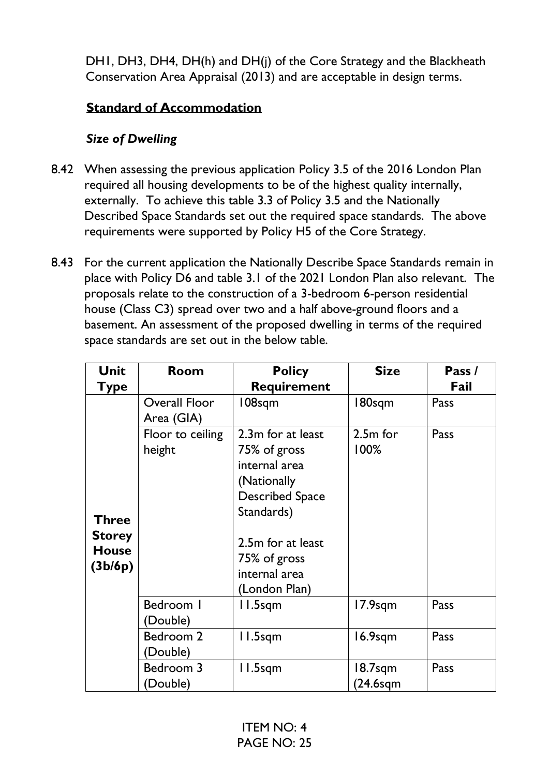DH1, DH3, DH4, DH(h) and DH(j) of the Core Strategy and the Blackheath Conservation Area Appraisal (2013) and are acceptable in design terms.

### **Standard of Accommodation**

## *Size of Dwelling*

- 8.42 When assessing the previous application Policy 3.5 of the 2016 London Plan required all housing developments to be of the highest quality internally, externally. To achieve this table 3.3 of Policy 3.5 and the Nationally Described Space Standards set out the required space standards. The above requirements were supported by Policy H5 of the Core Strategy.
- 8.43 For the current application the Nationally Describe Space Standards remain in place with Policy D6 and table 3.1 of the 2021 London Plan also relevant. The proposals relate to the construction of a 3-bedroom 6-person residential house (Class C3) spread over two and a half above-ground floors and a basement. An assessment of the proposed dwelling in terms of the required space standards are set out in the below table.

| <b>Unit</b>                                              | Room                        | <b>Policy</b>                                                                                                                                                                    | <b>Size</b>            | Pass / |
|----------------------------------------------------------|-----------------------------|----------------------------------------------------------------------------------------------------------------------------------------------------------------------------------|------------------------|--------|
| Type                                                     |                             | <b>Requirement</b>                                                                                                                                                               |                        | Fail   |
|                                                          | Overall Floor<br>Area (GIA) | 108sqm                                                                                                                                                                           | 180sqm                 | Pass   |
| <b>Three</b><br><b>Storey</b><br><b>House</b><br>(3b/6p) | Floor to ceiling<br>height  | 2.3m for at least<br>75% of gross<br>internal area<br>(Nationally<br><b>Described Space</b><br>Standards)<br>2.5m for at least<br>75% of gross<br>internal area<br>(London Plan) | $2.5m$ for<br>100%     | Pass   |
|                                                          | Bedroom I<br>(Double)       | II.5sqm                                                                                                                                                                          | $17.9$ sqm             | Pass   |
|                                                          | Bedroom 2<br>(Double)       | II.5sqm                                                                                                                                                                          | $16.9$ sqm             | Pass   |
|                                                          | Bedroom 3<br>(Double)       | l I.5sqm                                                                                                                                                                         | 18.7sqm<br>$(24.6$ sqm | Pass   |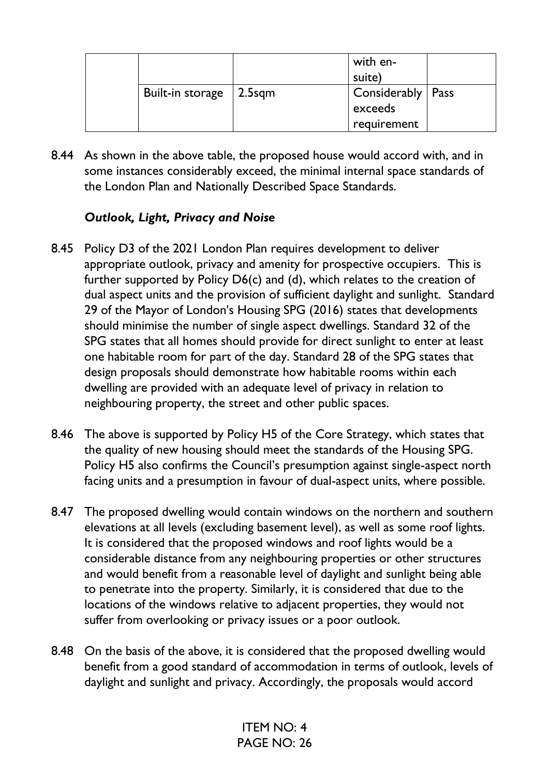|                  |                | with en-            |  |
|------------------|----------------|---------------------|--|
|                  |                | suite)              |  |
| Built-in storage | $\vert$ 2.5sqm | Considerably   Pass |  |
|                  |                | exceeds             |  |
|                  |                | requirement         |  |

8.44 As shown in the above table, the proposed house would accord with, and in some instances considerably exceed, the minimal internal space standards of the London Plan and Nationally Described Space Standards.

#### *Outlook, Light, Privacy and Noise*

- 8.45 Policy D3 of the 2021 London Plan requires development to deliver appropriate outlook, privacy and amenity for prospective occupiers. This is further supported by Policy D6(c) and (d), which relates to the creation of dual aspect units and the provision of sufficient daylight and sunlight. Standard 29 of the Mayor of London's Housing SPG (2016) states that developments should minimise the number of single aspect dwellings. Standard 32 of the SPG states that all homes should provide for direct sunlight to enter at least one habitable room for part of the day. Standard 28 of the SPG states that design proposals should demonstrate how habitable rooms within each dwelling are provided with an adequate level of privacy in relation to neighbouring property, the street and other public spaces.
- 8.46 The above is supported by Policy H5 of the Core Strategy, which states that the quality of new housing should meet the standards of the Housing SPG. Policy H5 also confirms the Council's presumption against single-aspect north facing units and a presumption in favour of dual-aspect units, where possible.
- 8.47 The proposed dwelling would contain windows on the northern and southern elevations at all levels (excluding basement level), as well as some roof lights. It is considered that the proposed windows and roof lights would be a considerable distance from any neighbouring properties or other structures and would benefit from a reasonable level of daylight and sunlight being able to penetrate into the property. Similarly, it is considered that due to the locations of the windows relative to adjacent properties, they would not suffer from overlooking or privacy issues or a poor outlook.
- 8.48 On the basis of the above, it is considered that the proposed dwelling would benefit from a good standard of accommodation in terms of outlook, levels of daylight and sunlight and privacy. Accordingly, the proposals would accord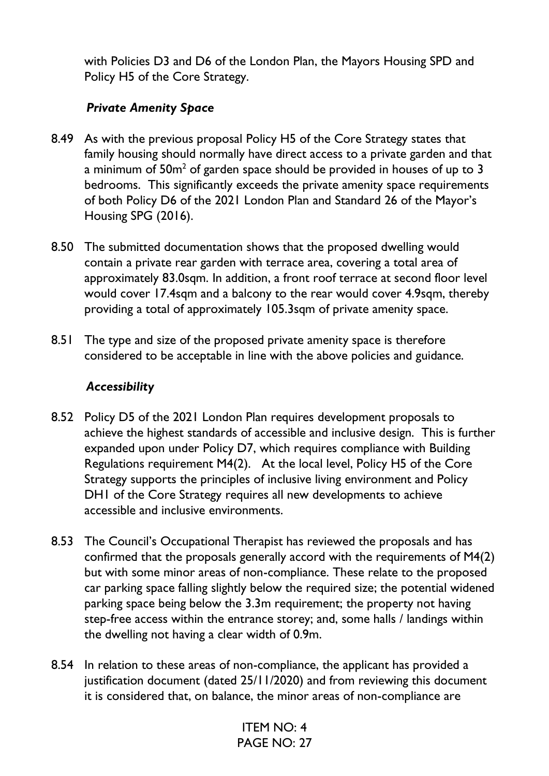with Policies D3 and D6 of the London Plan, the Mayors Housing SPD and Policy H5 of the Core Strategy.

### *Private Amenity Space*

- 8.49 As with the previous proposal Policy H5 of the Core Strategy states that family housing should normally have direct access to a private garden and that a minimum of 50m $^2$  of garden space should be provided in houses of up to 3  $\,$ bedrooms. This significantly exceeds the private amenity space requirements of both Policy D6 of the 2021 London Plan and Standard 26 of the Mayor's Housing SPG (2016).
- 8.50 The submitted documentation shows that the proposed dwelling would contain a private rear garden with terrace area, covering a total area of approximately 83.0sqm. In addition, a front roof terrace at second floor level would cover 17.4sqm and a balcony to the rear would cover 4.9sqm, thereby providing a total of approximately 105.3sqm of private amenity space.
- 8.51 The type and size of the proposed private amenity space is therefore considered to be acceptable in line with the above policies and guidance.

### *Accessibility*

- 8.52 Policy D5 of the 2021 London Plan requires development proposals to achieve the highest standards of accessible and inclusive design. This is further expanded upon under Policy D7, which requires compliance with Building Regulations requirement M4(2). At the local level, Policy H5 of the Core Strategy supports the principles of inclusive living environment and Policy DH1 of the Core Strategy requires all new developments to achieve accessible and inclusive environments.
- 8.53 The Council's Occupational Therapist has reviewed the proposals and has confirmed that the proposals generally accord with the requirements of M4(2) but with some minor areas of non-compliance. These relate to the proposed car parking space falling slightly below the required size; the potential widened parking space being below the 3.3m requirement; the property not having step-free access within the entrance storey; and, some halls / landings within the dwelling not having a clear width of 0.9m.
- 8.54 In relation to these areas of non-compliance, the applicant has provided a justification document (dated 25/11/2020) and from reviewing this document it is considered that, on balance, the minor areas of non-compliance are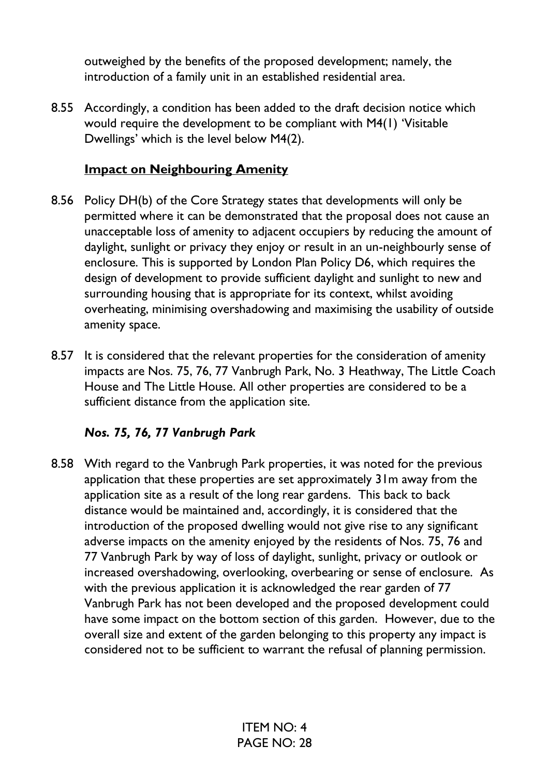outweighed by the benefits of the proposed development; namely, the introduction of a family unit in an established residential area.

8.55 Accordingly, a condition has been added to the draft decision notice which would require the development to be compliant with M4(1) 'Visitable Dwellings' which is the level below M4(2).

#### **Impact on Neighbouring Amenity**

- 8.56 Policy DH(b) of the Core Strategy states that developments will only be permitted where it can be demonstrated that the proposal does not cause an unacceptable loss of amenity to adjacent occupiers by reducing the amount of daylight, sunlight or privacy they enjoy or result in an un-neighbourly sense of enclosure. This is supported by London Plan Policy D6, which requires the design of development to provide sufficient daylight and sunlight to new and surrounding housing that is appropriate for its context, whilst avoiding overheating, minimising overshadowing and maximising the usability of outside amenity space.
- 8.57 It is considered that the relevant properties for the consideration of amenity impacts are Nos. 75, 76, 77 Vanbrugh Park, No. 3 Heathway, The Little Coach House and The Little House. All other properties are considered to be a sufficient distance from the application site.

#### *Nos. 75, 76, 77 Vanbrugh Park*

8.58 With regard to the Vanbrugh Park properties, it was noted for the previous application that these properties are set approximately 31m away from the application site as a result of the long rear gardens. This back to back distance would be maintained and, accordingly, it is considered that the introduction of the proposed dwelling would not give rise to any significant adverse impacts on the amenity enjoyed by the residents of Nos. 75, 76 and 77 Vanbrugh Park by way of loss of daylight, sunlight, privacy or outlook or increased overshadowing, overlooking, overbearing or sense of enclosure. As with the previous application it is acknowledged the rear garden of 77 Vanbrugh Park has not been developed and the proposed development could have some impact on the bottom section of this garden. However, due to the overall size and extent of the garden belonging to this property any impact is considered not to be sufficient to warrant the refusal of planning permission.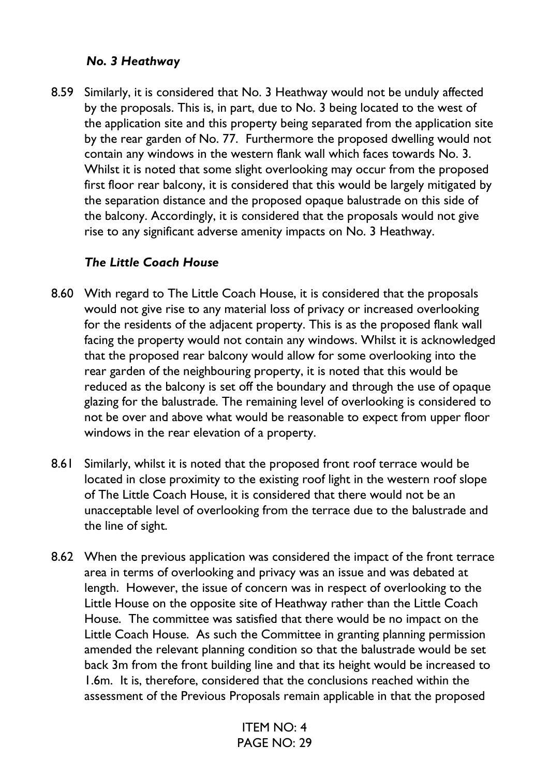#### *No. 3 Heathway*

8.59 Similarly, it is considered that No. 3 Heathway would not be unduly affected by the proposals. This is, in part, due to No. 3 being located to the west of the application site and this property being separated from the application site by the rear garden of No. 77. Furthermore the proposed dwelling would not contain any windows in the western flank wall which faces towards No. 3. Whilst it is noted that some slight overlooking may occur from the proposed first floor rear balcony, it is considered that this would be largely mitigated by the separation distance and the proposed opaque balustrade on this side of the balcony. Accordingly, it is considered that the proposals would not give rise to any significant adverse amenity impacts on No. 3 Heathway.

#### *The Little Coach House*

- 8.60 With regard to The Little Coach House, it is considered that the proposals would not give rise to any material loss of privacy or increased overlooking for the residents of the adjacent property. This is as the proposed flank wall facing the property would not contain any windows. Whilst it is acknowledged that the proposed rear balcony would allow for some overlooking into the rear garden of the neighbouring property, it is noted that this would be reduced as the balcony is set off the boundary and through the use of opaque glazing for the balustrade. The remaining level of overlooking is considered to not be over and above what would be reasonable to expect from upper floor windows in the rear elevation of a property.
- 8.61 Similarly, whilst it is noted that the proposed front roof terrace would be located in close proximity to the existing roof light in the western roof slope of The Little Coach House, it is considered that there would not be an unacceptable level of overlooking from the terrace due to the balustrade and the line of sight.
- 8.62 When the previous application was considered the impact of the front terrace area in terms of overlooking and privacy was an issue and was debated at length. However, the issue of concern was in respect of overlooking to the Little House on the opposite site of Heathway rather than the Little Coach House. The committee was satisfied that there would be no impact on the Little Coach House. As such the Committee in granting planning permission amended the relevant planning condition so that the balustrade would be set back 3m from the front building line and that its height would be increased to 1.6m. It is, therefore, considered that the conclusions reached within the assessment of the Previous Proposals remain applicable in that the proposed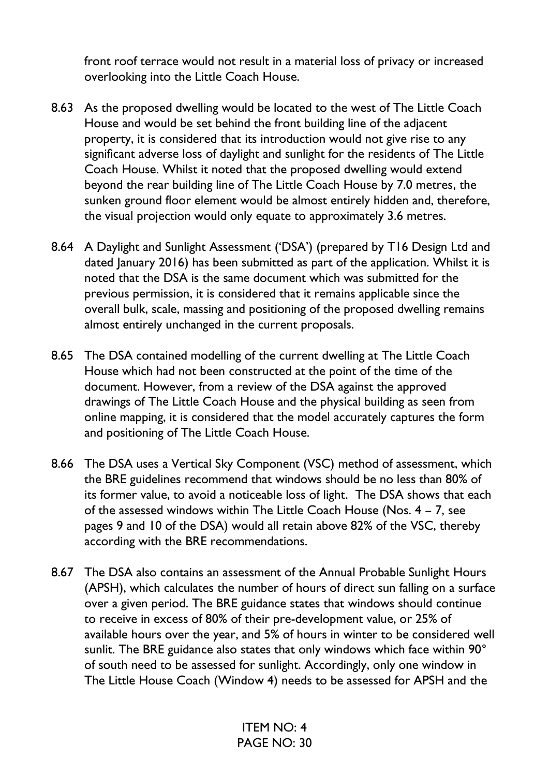front roof terrace would not result in a material loss of privacy or increased overlooking into the Little Coach House.

- 8.63 As the proposed dwelling would be located to the west of The Little Coach House and would be set behind the front building line of the adjacent property, it is considered that its introduction would not give rise to any significant adverse loss of daylight and sunlight for the residents of The Little Coach House. Whilst it noted that the proposed dwelling would extend beyond the rear building line of The Little Coach House by 7.0 metres, the sunken ground floor element would be almost entirely hidden and, therefore, the visual projection would only equate to approximately 3.6 metres.
- 8.64 A Daylight and Sunlight Assessment ('DSA') (prepared by T16 Design Ltd and dated January 2016) has been submitted as part of the application. Whilst it is noted that the DSA is the same document which was submitted for the previous permission, it is considered that it remains applicable since the overall bulk, scale, massing and positioning of the proposed dwelling remains almost entirely unchanged in the current proposals.
- 8.65 The DSA contained modelling of the current dwelling at The Little Coach House which had not been constructed at the point of the time of the document. However, from a review of the DSA against the approved drawings of The Little Coach House and the physical building as seen from online mapping, it is considered that the model accurately captures the form and positioning of The Little Coach House.
- 8.66 The DSA uses a Vertical Sky Component (VSC) method of assessment, which the BRE guidelines recommend that windows should be no less than 80% of its former value, to avoid a noticeable loss of light. The DSA shows that each of the assessed windows within The Little Coach House (Nos. 4 – 7, see pages 9 and 10 of the DSA) would all retain above 82% of the VSC, thereby according with the BRE recommendations.
- 8.67 The DSA also contains an assessment of the Annual Probable Sunlight Hours (APSH), which calculates the number of hours of direct sun falling on a surface over a given period. The BRE guidance states that windows should continue to receive in excess of 80% of their pre-development value, or 25% of available hours over the year, and 5% of hours in winter to be considered well sunlit. The BRE guidance also states that only windows which face within 90° of south need to be assessed for sunlight. Accordingly, only one window in The Little House Coach (Window 4) needs to be assessed for APSH and the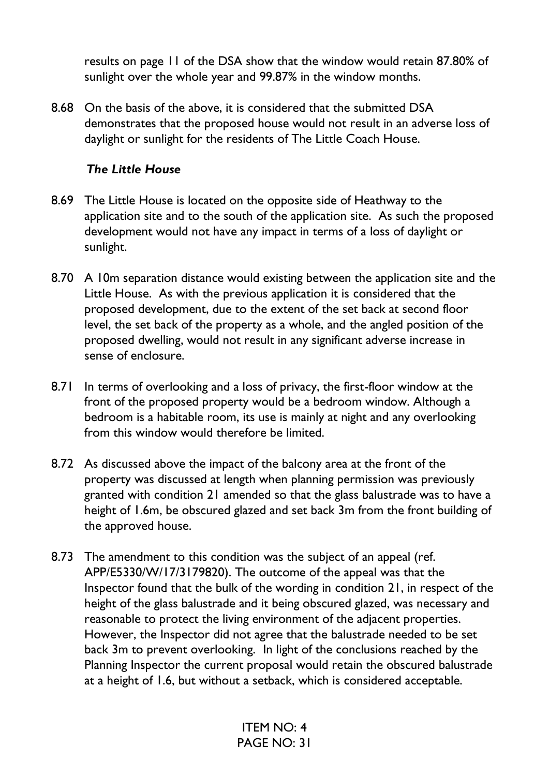results on page 11 of the DSA show that the window would retain 87.80% of sunlight over the whole year and 99.87% in the window months.

8.68 On the basis of the above, it is considered that the submitted DSA demonstrates that the proposed house would not result in an adverse loss of daylight or sunlight for the residents of The Little Coach House.

#### *The Little House*

- 8.69 The Little House is located on the opposite side of Heathway to the application site and to the south of the application site. As such the proposed development would not have any impact in terms of a loss of daylight or sunlight.
- 8.70 A 10m separation distance would existing between the application site and the Little House. As with the previous application it is considered that the proposed development, due to the extent of the set back at second floor level, the set back of the property as a whole, and the angled position of the proposed dwelling, would not result in any significant adverse increase in sense of enclosure.
- 8.71 In terms of overlooking and a loss of privacy, the first-floor window at the front of the proposed property would be a bedroom window. Although a bedroom is a habitable room, its use is mainly at night and any overlooking from this window would therefore be limited.
- 8.72 As discussed above the impact of the balcony area at the front of the property was discussed at length when planning permission was previously granted with condition 21 amended so that the glass balustrade was to have a height of 1.6m, be obscured glazed and set back 3m from the front building of the approved house.
- 8.73 The amendment to this condition was the subject of an appeal (ref. APP/E5330/W/17/3179820). The outcome of the appeal was that the Inspector found that the bulk of the wording in condition 21, in respect of the height of the glass balustrade and it being obscured glazed, was necessary and reasonable to protect the living environment of the adjacent properties. However, the Inspector did not agree that the balustrade needed to be set back 3m to prevent overlooking. In light of the conclusions reached by the Planning Inspector the current proposal would retain the obscured balustrade at a height of 1.6, but without a setback, which is considered acceptable.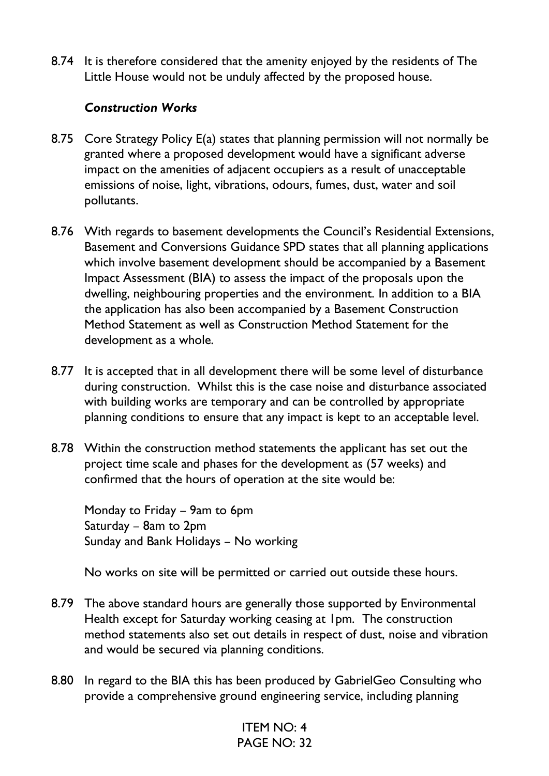8.74 It is therefore considered that the amenity enjoyed by the residents of The Little House would not be unduly affected by the proposed house.

#### *Construction Works*

- 8.75 Core Strategy Policy E(a) states that planning permission will not normally be granted where a proposed development would have a significant adverse impact on the amenities of adjacent occupiers as a result of unacceptable emissions of noise, light, vibrations, odours, fumes, dust, water and soil pollutants.
- 8.76 With regards to basement developments the Council's Residential Extensions, Basement and Conversions Guidance SPD states that all planning applications which involve basement development should be accompanied by a Basement Impact Assessment (BIA) to assess the impact of the proposals upon the dwelling, neighbouring properties and the environment. In addition to a BIA the application has also been accompanied by a Basement Construction Method Statement as well as Construction Method Statement for the development as a whole.
- 8.77 It is accepted that in all development there will be some level of disturbance during construction. Whilst this is the case noise and disturbance associated with building works are temporary and can be controlled by appropriate planning conditions to ensure that any impact is kept to an acceptable level.
- 8.78 Within the construction method statements the applicant has set out the project time scale and phases for the development as (57 weeks) and confirmed that the hours of operation at the site would be:

Monday to Friday – 9am to 6pm Saturday – 8am to 2pm Sunday and Bank Holidays – No working

No works on site will be permitted or carried out outside these hours.

- 8.79 The above standard hours are generally those supported by Environmental Health except for Saturday working ceasing at 1pm. The construction method statements also set out details in respect of dust, noise and vibration and would be secured via planning conditions.
- 8.80 In regard to the BIA this has been produced by GabrielGeo Consulting who provide a comprehensive ground engineering service, including planning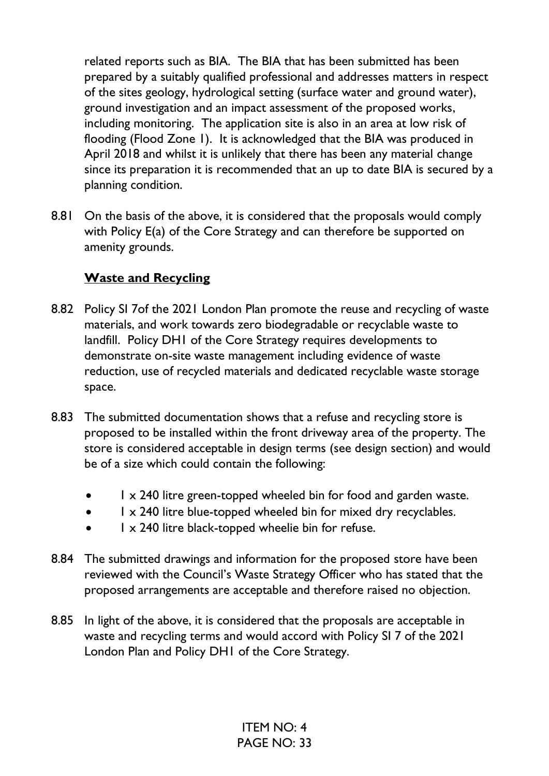related reports such as BIA. The BIA that has been submitted has been prepared by a suitably qualified professional and addresses matters in respect of the sites geology, hydrological setting (surface water and ground water), ground investigation and an impact assessment of the proposed works, including monitoring. The application site is also in an area at low risk of flooding (Flood Zone 1). It is acknowledged that the BIA was produced in April 2018 and whilst it is unlikely that there has been any material change since its preparation it is recommended that an up to date BIA is secured by a planning condition.

8.81 On the basis of the above, it is considered that the proposals would comply with Policy E(a) of the Core Strategy and can therefore be supported on amenity grounds.

#### **Waste and Recycling**

- 8.82 Policy SI 7of the 2021 London Plan promote the reuse and recycling of waste materials, and work towards zero biodegradable or recyclable waste to landfill. Policy DH1 of the Core Strategy requires developments to demonstrate on-site waste management including evidence of waste reduction, use of recycled materials and dedicated recyclable waste storage space.
- 8.83 The submitted documentation shows that a refuse and recycling store is proposed to be installed within the front driveway area of the property. The store is considered acceptable in design terms (see design section) and would be of a size which could contain the following:
	- $\frac{1}{x}$  240 litre green-topped wheeled bin for food and garden waste.
	- 1 x 240 litre blue-topped wheeled bin for mixed dry recyclables.
	- $\frac{1}{x}$  240 litre black-topped wheelie bin for refuse.
- 8.84 The submitted drawings and information for the proposed store have been reviewed with the Council's Waste Strategy Officer who has stated that the proposed arrangements are acceptable and therefore raised no objection.
- 8.85 In light of the above, it is considered that the proposals are acceptable in waste and recycling terms and would accord with Policy SI 7 of the 2021 London Plan and Policy DH1 of the Core Strategy.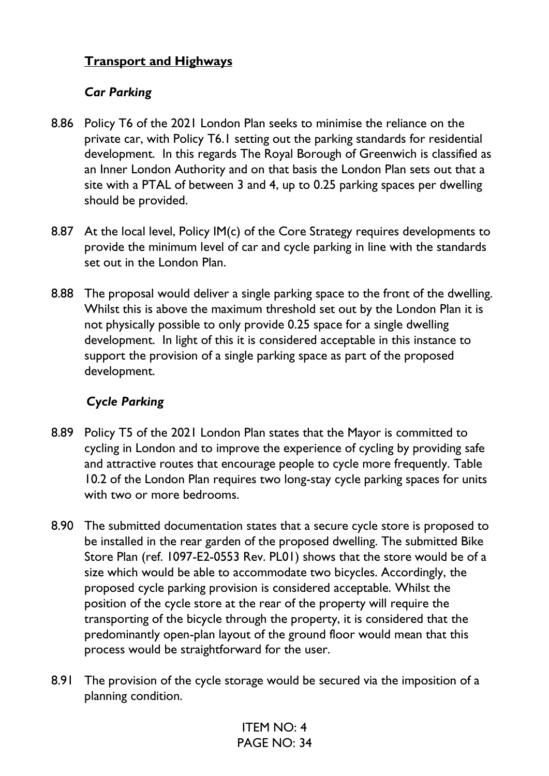### **Transport and Highways**

#### *Car Parking*

- 8.86 Policy T6 of the 2021 London Plan seeks to minimise the reliance on the private car, with Policy T6.1 setting out the parking standards for residential development. In this regards The Royal Borough of Greenwich is classified as an Inner London Authority and on that basis the London Plan sets out that a site with a PTAL of between 3 and 4, up to 0.25 parking spaces per dwelling should be provided.
- 8.87 At the local level, Policy IM(c) of the Core Strategy requires developments to provide the minimum level of car and cycle parking in line with the standards set out in the London Plan.
- 8.88 The proposal would deliver a single parking space to the front of the dwelling. Whilst this is above the maximum threshold set out by the London Plan it is not physically possible to only provide 0.25 space for a single dwelling development. In light of this it is considered acceptable in this instance to support the provision of a single parking space as part of the proposed development.

#### *Cycle Parking*

- 8.89 Policy T5 of the 2021 London Plan states that the Mayor is committed to cycling in London and to improve the experience of cycling by providing safe and attractive routes that encourage people to cycle more frequently. Table 10.2 of the London Plan requires two long-stay cycle parking spaces for units with two or more bedrooms.
- 8.90 The submitted documentation states that a secure cycle store is proposed to be installed in the rear garden of the proposed dwelling. The submitted Bike Store Plan (ref. 1097-E2-0553 Rev. PL01) shows that the store would be of a size which would be able to accommodate two bicycles. Accordingly, the proposed cycle parking provision is considered acceptable. Whilst the position of the cycle store at the rear of the property will require the transporting of the bicycle through the property, it is considered that the predominantly open-plan layout of the ground floor would mean that this process would be straightforward for the user.
- 8.91 The provision of the cycle storage would be secured via the imposition of a planning condition.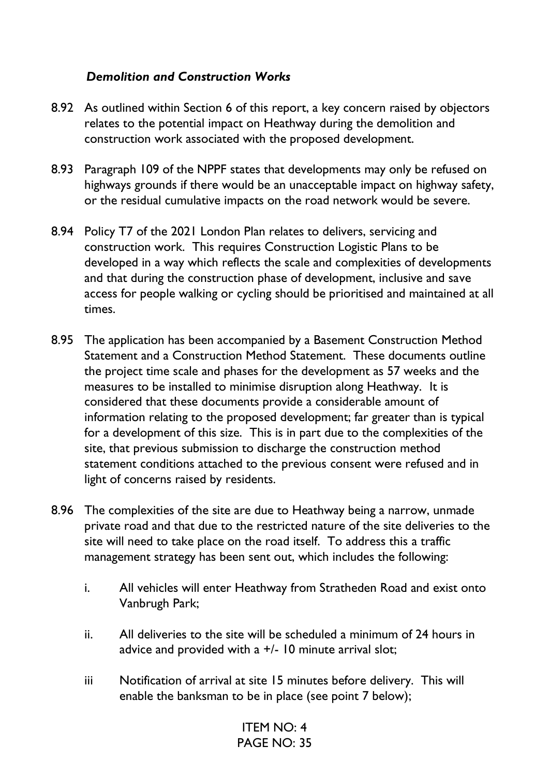#### *Demolition and Construction Works*

- 8.92 As outlined within Section 6 of this report, a key concern raised by objectors relates to the potential impact on Heathway during the demolition and construction work associated with the proposed development.
- 8.93 Paragraph 109 of the NPPF states that developments may only be refused on highways grounds if there would be an unacceptable impact on highway safety, or the residual cumulative impacts on the road network would be severe.
- 8.94 Policy T7 of the 2021 London Plan relates to delivers, servicing and construction work. This requires Construction Logistic Plans to be developed in a way which reflects the scale and complexities of developments and that during the construction phase of development, inclusive and save access for people walking or cycling should be prioritised and maintained at all times.
- 8.95 The application has been accompanied by a Basement Construction Method Statement and a Construction Method Statement. These documents outline the project time scale and phases for the development as 57 weeks and the measures to be installed to minimise disruption along Heathway. It is considered that these documents provide a considerable amount of information relating to the proposed development; far greater than is typical for a development of this size. This is in part due to the complexities of the site, that previous submission to discharge the construction method statement conditions attached to the previous consent were refused and in light of concerns raised by residents.
- 8.96 The complexities of the site are due to Heathway being a narrow, unmade private road and that due to the restricted nature of the site deliveries to the site will need to take place on the road itself. To address this a traffic management strategy has been sent out, which includes the following:
	- i. All vehicles will enter Heathway from Stratheden Road and exist onto Vanbrugh Park;
	- ii. All deliveries to the site will be scheduled a minimum of 24 hours in advice and provided with a  $+/-$  10 minute arrival slot;
	- iii Notification of arrival at site 15 minutes before delivery. This will enable the banksman to be in place (see point 7 below);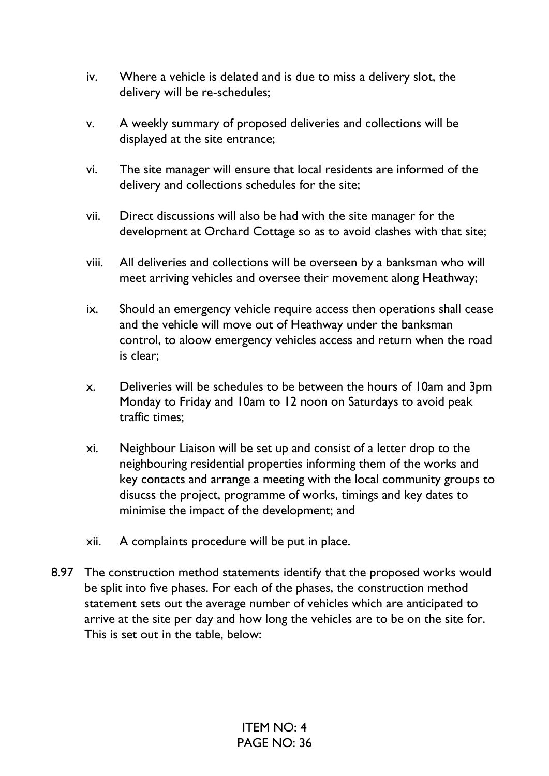- iv. Where a vehicle is delated and is due to miss a delivery slot, the delivery will be re-schedules;
- v. A weekly summary of proposed deliveries and collections will be displayed at the site entrance;
- vi. The site manager will ensure that local residents are informed of the delivery and collections schedules for the site;
- vii. Direct discussions will also be had with the site manager for the development at Orchard Cottage so as to avoid clashes with that site;
- viii. All deliveries and collections will be overseen by a banksman who will meet arriving vehicles and oversee their movement along Heathway;
- ix. Should an emergency vehicle require access then operations shall cease and the vehicle will move out of Heathway under the banksman control, to aloow emergency vehicles access and return when the road is clear;
- x. Deliveries will be schedules to be between the hours of 10am and 3pm Monday to Friday and 10am to 12 noon on Saturdays to avoid peak traffic times;
- xi. Neighbour Liaison will be set up and consist of a letter drop to the neighbouring residential properties informing them of the works and key contacts and arrange a meeting with the local community groups to disucss the project, programme of works, timings and key dates to minimise the impact of the development; and
- xii. A complaints procedure will be put in place.
- 8.97 The construction method statements identify that the proposed works would be split into five phases. For each of the phases, the construction method statement sets out the average number of vehicles which are anticipated to arrive at the site per day and how long the vehicles are to be on the site for. This is set out in the table, below: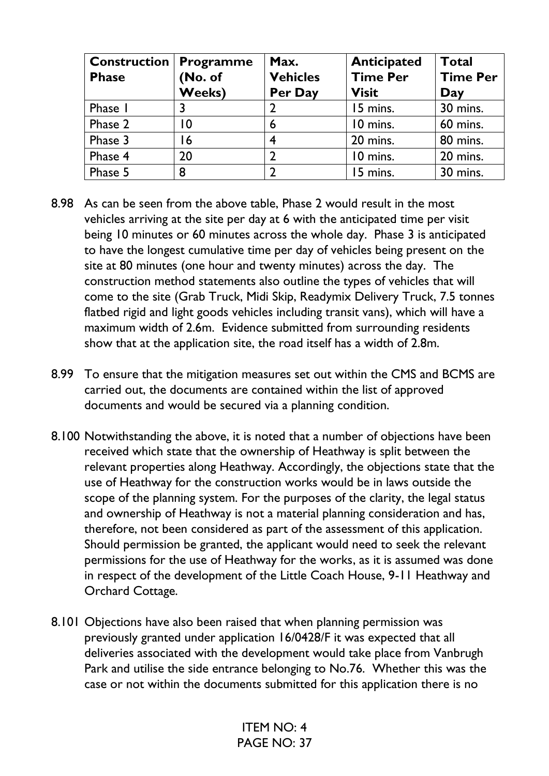| <b>Construction</b><br><b>Phase</b> | <b>Programme</b><br>(No. of<br><b>Weeks)</b> | Max.<br><b>Vehicles</b><br>Per Day | <b>Anticipated</b><br><b>Time Per</b><br><b>Visit</b> | <b>Total</b><br><b>Time Per</b><br>Day |
|-------------------------------------|----------------------------------------------|------------------------------------|-------------------------------------------------------|----------------------------------------|
| Phase I                             |                                              |                                    | 15 mins.                                              | 30 mins.                               |
| Phase 2                             | 10                                           | 6                                  | 10 mins.                                              | 60 mins.                               |
| Phase 3                             | 16                                           | 4                                  | 20 mins.                                              | 80 mins.                               |
| Phase 4                             | 20                                           | $\overline{2}$                     | 10 mins.                                              | 20 mins.                               |
| Phase 5                             | 8                                            | $\overline{2}$                     | 15 mins.                                              | 30 mins.                               |

- 8.98 As can be seen from the above table, Phase 2 would result in the most vehicles arriving at the site per day at 6 with the anticipated time per visit being 10 minutes or 60 minutes across the whole day. Phase 3 is anticipated to have the longest cumulative time per day of vehicles being present on the site at 80 minutes (one hour and twenty minutes) across the day. The construction method statements also outline the types of vehicles that will come to the site (Grab Truck, Midi Skip, Readymix Delivery Truck, 7.5 tonnes flatbed rigid and light goods vehicles including transit vans), which will have a maximum width of 2.6m. Evidence submitted from surrounding residents show that at the application site, the road itself has a width of 2.8m.
- 8.99 To ensure that the mitigation measures set out within the CMS and BCMS are carried out, the documents are contained within the list of approved documents and would be secured via a planning condition.
- 8.100 Notwithstanding the above, it is noted that a number of objections have been received which state that the ownership of Heathway is split between the relevant properties along Heathway. Accordingly, the objections state that the use of Heathway for the construction works would be in laws outside the scope of the planning system. For the purposes of the clarity, the legal status and ownership of Heathway is not a material planning consideration and has, therefore, not been considered as part of the assessment of this application. Should permission be granted, the applicant would need to seek the relevant permissions for the use of Heathway for the works, as it is assumed was done in respect of the development of the Little Coach House, 9-11 Heathway and Orchard Cottage.
- 8.101 Objections have also been raised that when planning permission was previously granted under application 16/0428/F it was expected that all deliveries associated with the development would take place from Vanbrugh Park and utilise the side entrance belonging to No.76. Whether this was the case or not within the documents submitted for this application there is no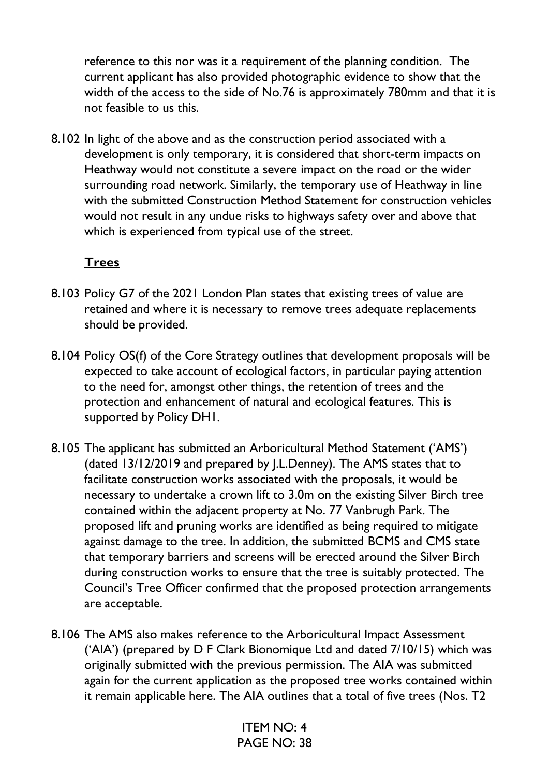reference to this nor was it a requirement of the planning condition. The current applicant has also provided photographic evidence to show that the width of the access to the side of No.76 is approximately 780mm and that it is not feasible to us this.

8.102 In light of the above and as the construction period associated with a development is only temporary, it is considered that short-term impacts on Heathway would not constitute a severe impact on the road or the wider surrounding road network. Similarly, the temporary use of Heathway in line with the submitted Construction Method Statement for construction vehicles would not result in any undue risks to highways safety over and above that which is experienced from typical use of the street.

#### **Trees**

- 8.103 Policy G7 of the 2021 London Plan states that existing trees of value are retained and where it is necessary to remove trees adequate replacements should be provided.
- 8.104 Policy OS(f) of the Core Strategy outlines that development proposals will be expected to take account of ecological factors, in particular paying attention to the need for, amongst other things, the retention of trees and the protection and enhancement of natural and ecological features. This is supported by Policy DH1.
- 8.105 The applicant has submitted an Arboricultural Method Statement ('AMS') (dated 13/12/2019 and prepared by J.L.Denney). The AMS states that to facilitate construction works associated with the proposals, it would be necessary to undertake a crown lift to 3.0m on the existing Silver Birch tree contained within the adjacent property at No. 77 Vanbrugh Park. The proposed lift and pruning works are identified as being required to mitigate against damage to the tree. In addition, the submitted BCMS and CMS state that temporary barriers and screens will be erected around the Silver Birch during construction works to ensure that the tree is suitably protected. The Council's Tree Officer confirmed that the proposed protection arrangements are acceptable.
- 8.106 The AMS also makes reference to the Arboricultural Impact Assessment ('AIA') (prepared by D F Clark Bionomique Ltd and dated 7/10/15) which was originally submitted with the previous permission. The AIA was submitted again for the current application as the proposed tree works contained within it remain applicable here. The AIA outlines that a total of five trees (Nos. T2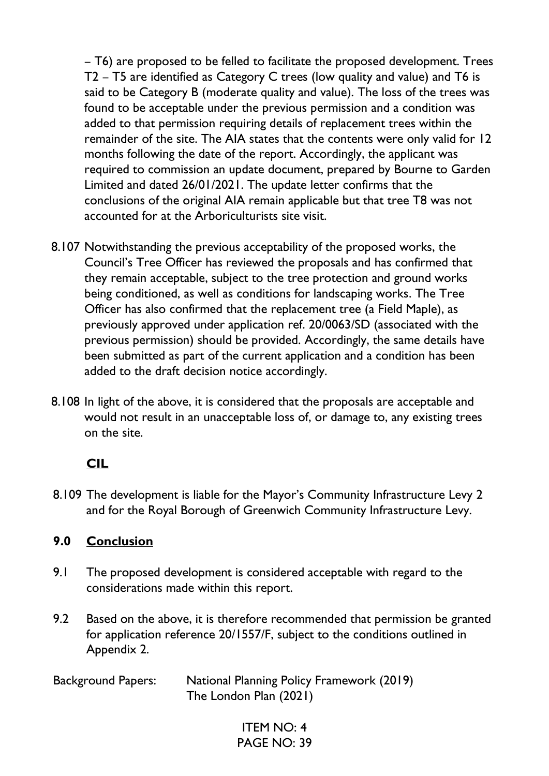– T6) are proposed to be felled to facilitate the proposed development. Trees T2 – T5 are identified as Category C trees (low quality and value) and T6 is said to be Category B (moderate quality and value). The loss of the trees was found to be acceptable under the previous permission and a condition was added to that permission requiring details of replacement trees within the remainder of the site. The AIA states that the contents were only valid for 12 months following the date of the report. Accordingly, the applicant was required to commission an update document, prepared by Bourne to Garden Limited and dated 26/01/2021. The update letter confirms that the conclusions of the original AIA remain applicable but that tree T8 was not accounted for at the Arboriculturists site visit.

- 8.107 Notwithstanding the previous acceptability of the proposed works, the Council's Tree Officer has reviewed the proposals and has confirmed that they remain acceptable, subject to the tree protection and ground works being conditioned, as well as conditions for landscaping works. The Tree Officer has also confirmed that the replacement tree (a Field Maple), as previously approved under application ref. 20/0063/SD (associated with the previous permission) should be provided. Accordingly, the same details have been submitted as part of the current application and a condition has been added to the draft decision notice accordingly.
- 8.108 In light of the above, it is considered that the proposals are acceptable and would not result in an unacceptable loss of, or damage to, any existing trees on the site.

### **CIL**

8.109 The development is liable for the Mayor's Community Infrastructure Levy 2 and for the Royal Borough of Greenwich Community Infrastructure Levy.

#### **9.0 Conclusion**

- 9.1 The proposed development is considered acceptable with regard to the considerations made within this report.
- 9.2 Based on the above, it is therefore recommended that permission be granted for application reference 20/1557/F, subject to the conditions outlined in Appendix 2.

| <b>Background Papers:</b> | National Planning Policy Framework (2019) |
|---------------------------|-------------------------------------------|
|                           | The London Plan (2021)                    |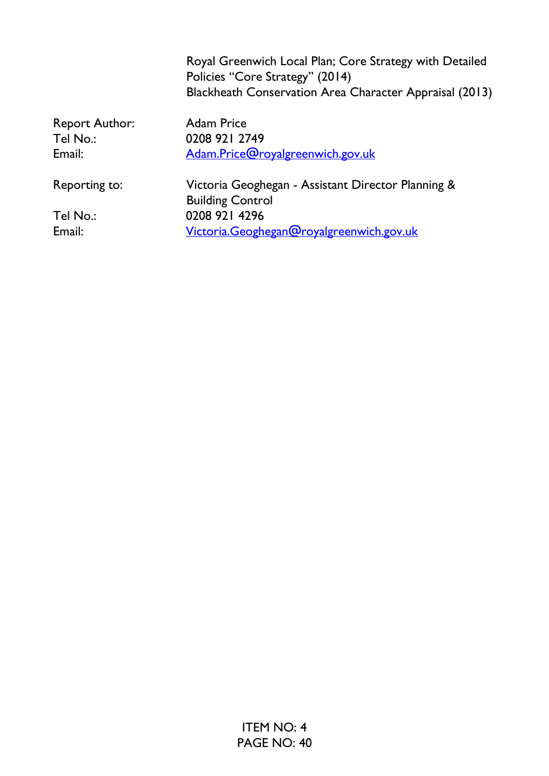|                       | Royal Greenwich Local Plan; Core Strategy with Detailed<br>Policies "Core Strategy" (2014)<br>Blackheath Conservation Area Character Appraisal (2013) |
|-----------------------|-------------------------------------------------------------------------------------------------------------------------------------------------------|
| <b>Report Author:</b> | <b>Adam Price</b>                                                                                                                                     |
| Tel No.:              | 0208 921 2749                                                                                                                                         |
| Email:                | Adam.Price@royalgreenwich.gov.uk                                                                                                                      |
| Reporting to:         | Victoria Geoghegan - Assistant Director Planning &<br><b>Building Control</b>                                                                         |
| Tel No.:              | 0208 921 4296                                                                                                                                         |
| Email:                | Victoria.Geoghegan@royalgreenwich.gov.uk                                                                                                              |
|                       |                                                                                                                                                       |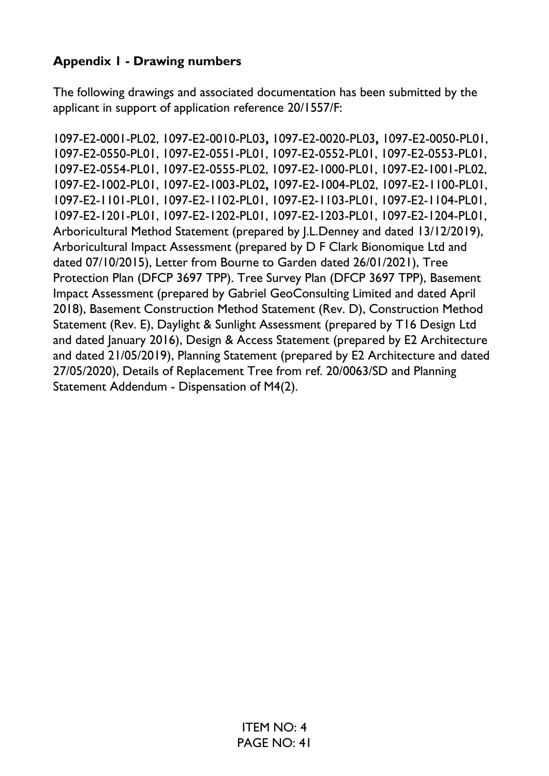## **Appendix 1 - Drawing numbers**

The following drawings and associated documentation has been submitted by the applicant in support of application reference 20/1557/F:

1097-E2-0001-PL02, 1097-E2-0010-PL03**,** 1097-E2-0020-PL03**,** 1097-E2-0050-PL01, 1097-E2-0550-PL01, 1097-E2-0551-PL01, 1097-E2-0552-PL01, 1097-E2-0553-PL01, 1097-E2-0554-PL01, 1097-E2-0555-PL02, 1097-E2-1000-PL01, 1097-E2-1001-PL02, 1097-E2-1002-PL01, 1097-E2-1003-PL02**,** 1097-E2-1004-PL02, 1097-E2-1100-PL01, 1097-E2-1101-PL01, 1097-E2-1102-PL01, 1097-E2-1103-PL01, 1097-E2-1104-PL01, 1097-E2-1201-PL01, 1097-E2-1202-PL01, 1097-E2-1203-PL01, 1097-E2-1204-PL01, Arboricultural Method Statement (prepared by J.L.Denney and dated 13/12/2019), Arboricultural Impact Assessment (prepared by D F Clark Bionomique Ltd and dated 07/10/2015), Letter from Bourne to Garden dated 26/01/2021), Tree Protection Plan (DFCP 3697 TPP). Tree Survey Plan (DFCP 3697 TPP), Basement Impact Assessment (prepared by Gabriel GeoConsulting Limited and dated April 2018), Basement Construction Method Statement (Rev. D), Construction Method Statement (Rev. E), Daylight & Sunlight Assessment (prepared by T16 Design Ltd and dated January 2016), Design & Access Statement (prepared by E2 Architecture and dated 21/05/2019), Planning Statement (prepared by E2 Architecture and dated 27/05/2020), Details of Replacement Tree from ref. 20/0063/SD and Planning Statement Addendum - Dispensation of M4(2).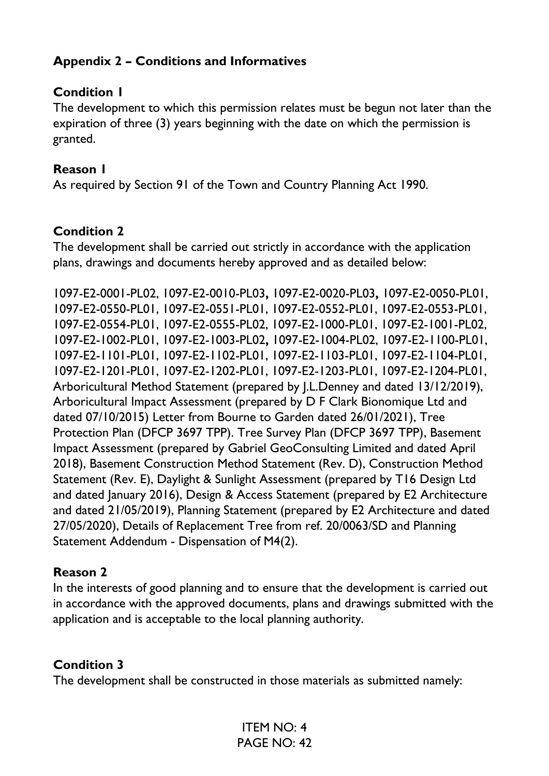### **Appendix 2 – Conditions and Informatives**

#### **Condition 1**

The development to which this permission relates must be begun not later than the expiration of three (3) years beginning with the date on which the permission is granted.

#### **Reason 1**

As required by Section 91 of the Town and Country Planning Act 1990.

#### **Condition 2**

The development shall be carried out strictly in accordance with the application plans, drawings and documents hereby approved and as detailed below:

1097-E2-0001-PL02, 1097-E2-0010-PL03**,** 1097-E2-0020-PL03**,** 1097-E2-0050-PL01, 1097-E2-0550-PL01, 1097-E2-0551-PL01, 1097-E2-0552-PL01, 1097-E2-0553-PL01, 1097-E2-0554-PL01, 1097-E2-0555-PL02, 1097-E2-1000-PL01, 1097-E2-1001-PL02, 1097-E2-1002-PL01, 1097-E2-1003-PL02**,** 1097-E2-1004-PL02, 1097-E2-1100-PL01, 1097-E2-1101-PL01, 1097-E2-1102-PL01, 1097-E2-1103-PL01, 1097-E2-1104-PL01, 1097-E2-1201-PL01, 1097-E2-1202-PL01, 1097-E2-1203-PL01, 1097-E2-1204-PL01, Arboricultural Method Statement (prepared by J.L.Denney and dated 13/12/2019), Arboricultural Impact Assessment (prepared by D F Clark Bionomique Ltd and dated 07/10/2015) Letter from Bourne to Garden dated 26/01/2021), Tree Protection Plan (DFCP 3697 TPP). Tree Survey Plan (DFCP 3697 TPP), Basement Impact Assessment (prepared by Gabriel GeoConsulting Limited and dated April 2018), Basement Construction Method Statement (Rev. D), Construction Method Statement (Rev. E), Daylight & Sunlight Assessment (prepared by T16 Design Ltd and dated January 2016), Design & Access Statement (prepared by E2 Architecture and dated 21/05/2019), Planning Statement (prepared by E2 Architecture and dated 27/05/2020), Details of Replacement Tree from ref. 20/0063/SD and Planning Statement Addendum - Dispensation of M4(2).

#### **Reason 2**

In the interests of good planning and to ensure that the development is carried out in accordance with the approved documents, plans and drawings submitted with the application and is acceptable to the local planning authority.

#### **Condition 3**

The development shall be constructed in those materials as submitted namely: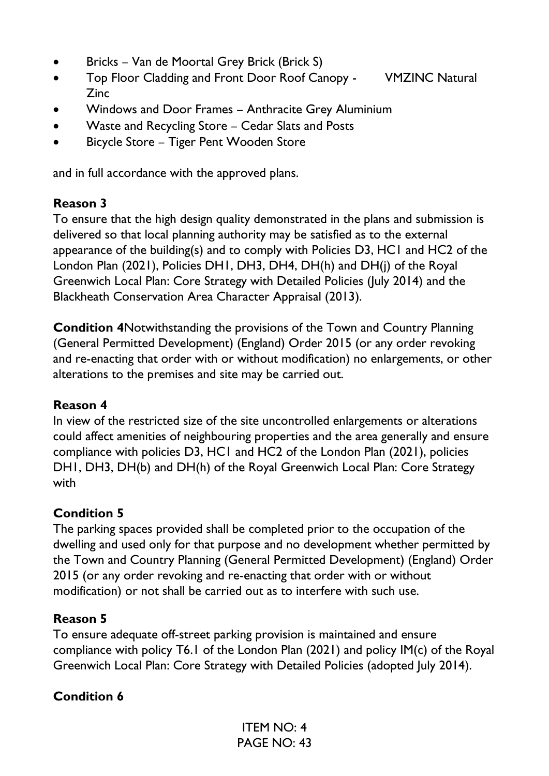- Bricks Van de Moortal Grey Brick (Brick S)
- Top Floor Cladding and Front Door Roof Canopy VMZINC Natural Zinc
- Windows and Door Frames Anthracite Grey Aluminium
- Waste and Recycling Store Cedar Slats and Posts
- Bicycle Store Tiger Pent Wooden Store

and in full accordance with the approved plans.

## **Reason 3**

To ensure that the high design quality demonstrated in the plans and submission is delivered so that local planning authority may be satisfied as to the external appearance of the building(s) and to comply with Policies D3, HC1 and HC2 of the London Plan (2021), Policies DH1, DH3, DH4, DH(h) and DH(j) of the Royal Greenwich Local Plan: Core Strategy with Detailed Policies (July 2014) and the Blackheath Conservation Area Character Appraisal (2013).

**Condition 4**Notwithstanding the provisions of the Town and Country Planning (General Permitted Development) (England) Order 2015 (or any order revoking and re-enacting that order with or without modification) no enlargements, or other alterations to the premises and site may be carried out.

## **Reason 4**

In view of the restricted size of the site uncontrolled enlargements or alterations could affect amenities of neighbouring properties and the area generally and ensure compliance with policies D3, HC1 and HC2 of the London Plan (2021), policies DH1, DH3, DH(b) and DH(h) of the Royal Greenwich Local Plan: Core Strategy with

## **Condition 5**

The parking spaces provided shall be completed prior to the occupation of the dwelling and used only for that purpose and no development whether permitted by the Town and Country Planning (General Permitted Development) (England) Order 2015 (or any order revoking and re-enacting that order with or without modification) or not shall be carried out as to interfere with such use.

### **Reason 5**

To ensure adequate off-street parking provision is maintained and ensure compliance with policy T6.1 of the London Plan (2021) and policy IM(c) of the Royal Greenwich Local Plan: Core Strategy with Detailed Policies (adopted July 2014).

## **Condition 6**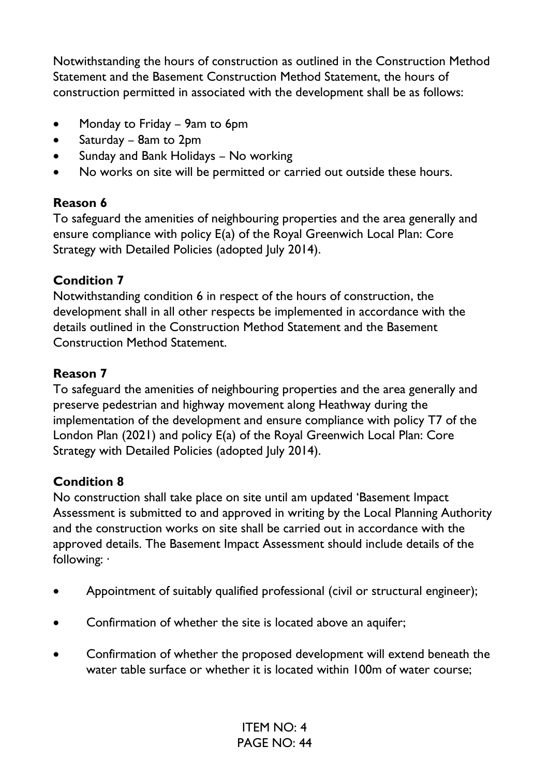Notwithstanding the hours of construction as outlined in the Construction Method Statement and the Basement Construction Method Statement, the hours of construction permitted in associated with the development shall be as follows:

- Monday to Friday 9am to 6pm
- Saturday 8am to 2pm
- Sunday and Bank Holidays No working
- No works on site will be permitted or carried out outside these hours.

## **Reason 6**

To safeguard the amenities of neighbouring properties and the area generally and ensure compliance with policy E(a) of the Royal Greenwich Local Plan: Core Strategy with Detailed Policies (adopted July 2014).

## **Condition 7**

Notwithstanding condition 6 in respect of the hours of construction, the development shall in all other respects be implemented in accordance with the details outlined in the Construction Method Statement and the Basement Construction Method Statement.

## **Reason 7**

To safeguard the amenities of neighbouring properties and the area generally and preserve pedestrian and highway movement along Heathway during the implementation of the development and ensure compliance with policy T7 of the London Plan (2021) and policy E(a) of the Royal Greenwich Local Plan: Core Strategy with Detailed Policies (adopted July 2014).

### **Condition 8**

No construction shall take place on site until am updated 'Basement Impact Assessment is submitted to and approved in writing by the Local Planning Authority and the construction works on site shall be carried out in accordance with the approved details. The Basement Impact Assessment should include details of the following: ·

- Appointment of suitably qualified professional (civil or structural engineer);
- Confirmation of whether the site is located above an aquifer;
- Confirmation of whether the proposed development will extend beneath the water table surface or whether it is located within 100m of water course;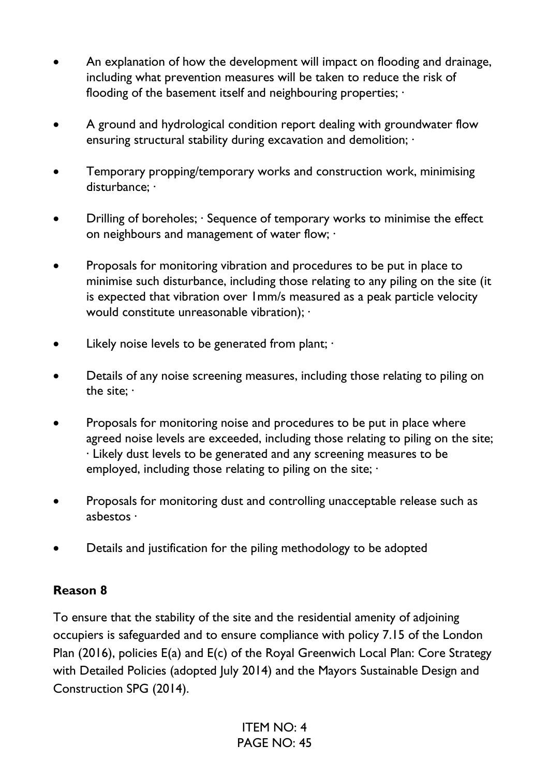- An explanation of how the development will impact on flooding and drainage, including what prevention measures will be taken to reduce the risk of flooding of the basement itself and neighbouring properties;  $\cdot$
- A ground and hydrological condition report dealing with groundwater flow ensuring structural stability during excavation and demolition;  $\cdot$
- Temporary propping/temporary works and construction work, minimising disturbance; ·
- Drilling of boreholes; Sequence of temporary works to minimise the effect on neighbours and management of water flow; ·
- Proposals for monitoring vibration and procedures to be put in place to minimise such disturbance, including those relating to any piling on the site (it is expected that vibration over 1mm/s measured as a peak particle velocity would constitute unreasonable vibration); ·
- Likely noise levels to be generated from plant;  $\cdot$
- Details of any noise screening measures, including those relating to piling on the site; ·
- Proposals for monitoring noise and procedures to be put in place where agreed noise levels are exceeded, including those relating to piling on the site; · Likely dust levels to be generated and any screening measures to be employed, including those relating to piling on the site;  $\cdot$
- Proposals for monitoring dust and controlling unacceptable release such as asbestos ·
- Details and justification for the piling methodology to be adopted

### **Reason 8**

To ensure that the stability of the site and the residential amenity of adjoining occupiers is safeguarded and to ensure compliance with policy 7.15 of the London Plan (2016), policies E(a) and E(c) of the Royal Greenwich Local Plan: Core Strategy with Detailed Policies (adopted July 2014) and the Mayors Sustainable Design and Construction SPG (2014).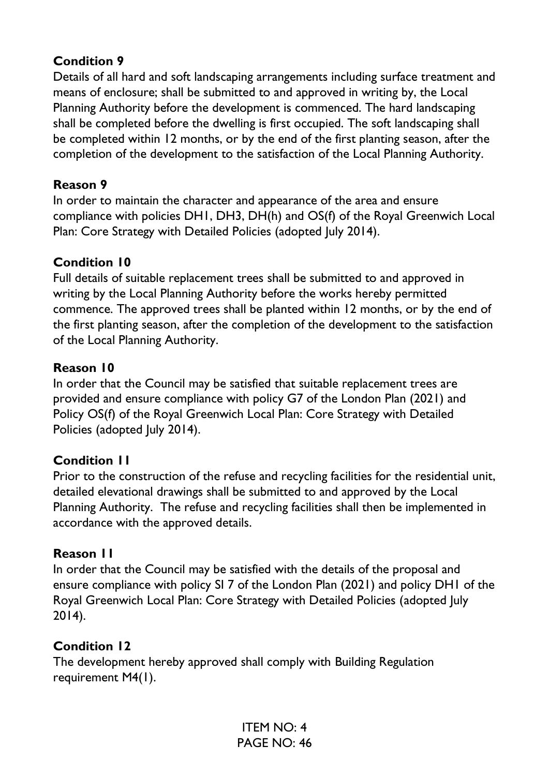### **Condition 9**

Details of all hard and soft landscaping arrangements including surface treatment and means of enclosure; shall be submitted to and approved in writing by, the Local Planning Authority before the development is commenced. The hard landscaping shall be completed before the dwelling is first occupied. The soft landscaping shall be completed within 12 months, or by the end of the first planting season, after the completion of the development to the satisfaction of the Local Planning Authority.

#### **Reason 9**

In order to maintain the character and appearance of the area and ensure compliance with policies DH1, DH3, DH(h) and OS(f) of the Royal Greenwich Local Plan: Core Strategy with Detailed Policies (adopted July 2014).

#### **Condition 10**

Full details of suitable replacement trees shall be submitted to and approved in writing by the Local Planning Authority before the works hereby permitted commence. The approved trees shall be planted within 12 months, or by the end of the first planting season, after the completion of the development to the satisfaction of the Local Planning Authority.

#### **Reason 10**

In order that the Council may be satisfied that suitable replacement trees are provided and ensure compliance with policy G7 of the London Plan (2021) and Policy OS(f) of the Royal Greenwich Local Plan: Core Strategy with Detailed Policies (adopted July 2014).

#### **Condition 11**

Prior to the construction of the refuse and recycling facilities for the residential unit, detailed elevational drawings shall be submitted to and approved by the Local Planning Authority. The refuse and recycling facilities shall then be implemented in accordance with the approved details.

#### **Reason 11**

In order that the Council may be satisfied with the details of the proposal and ensure compliance with policy SI 7 of the London Plan (2021) and policy DH1 of the Royal Greenwich Local Plan: Core Strategy with Detailed Policies (adopted July 2014).

#### **Condition 12**

The development hereby approved shall comply with Building Regulation requirement M4(1).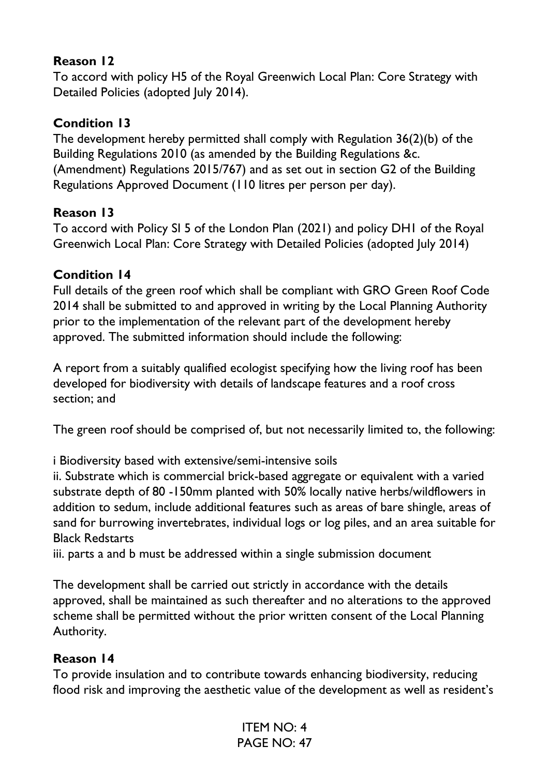### **Reason 12**

To accord with policy H5 of the Royal Greenwich Local Plan: Core Strategy with Detailed Policies (adopted July 2014).

## **Condition 13**

The development hereby permitted shall comply with Regulation 36(2)(b) of the Building Regulations 2010 (as amended by the Building Regulations &c. (Amendment) Regulations 2015/767) and as set out in section G2 of the Building Regulations Approved Document (110 litres per person per day).

## **Reason 13**

To accord with Policy SI 5 of the London Plan (2021) and policy DH1 of the Royal Greenwich Local Plan: Core Strategy with Detailed Policies (adopted July 2014)

## **Condition 14**

Full details of the green roof which shall be compliant with GRO Green Roof Code 2014 shall be submitted to and approved in writing by the Local Planning Authority prior to the implementation of the relevant part of the development hereby approved. The submitted information should include the following:

A report from a suitably qualified ecologist specifying how the living roof has been developed for biodiversity with details of landscape features and a roof cross section; and

The green roof should be comprised of, but not necessarily limited to, the following:

i Biodiversity based with extensive/semi-intensive soils

ii. Substrate which is commercial brick-based aggregate or equivalent with a varied substrate depth of 80 -150mm planted with 50% locally native herbs/wildflowers in addition to sedum, include additional features such as areas of bare shingle, areas of sand for burrowing invertebrates, individual logs or log piles, and an area suitable for Black Redstarts

iii. parts a and b must be addressed within a single submission document

The development shall be carried out strictly in accordance with the details approved, shall be maintained as such thereafter and no alterations to the approved scheme shall be permitted without the prior written consent of the Local Planning Authority.

## **Reason 14**

To provide insulation and to contribute towards enhancing biodiversity, reducing flood risk and improving the aesthetic value of the development as well as resident's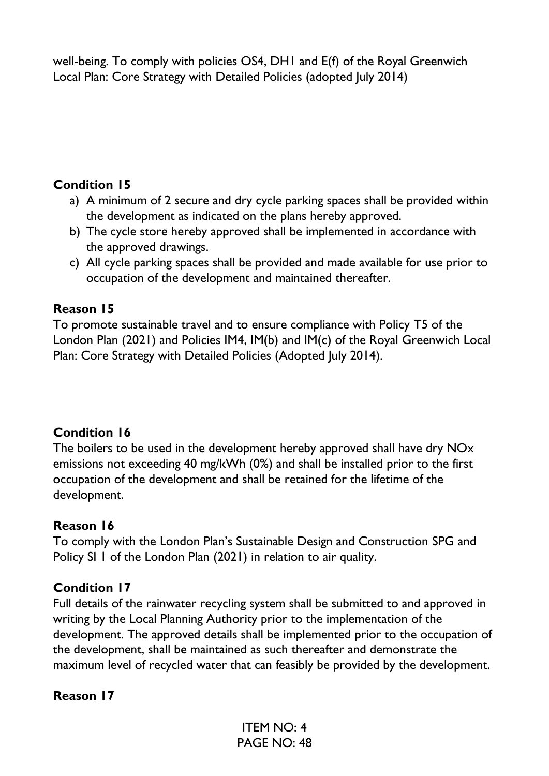well-being. To comply with policies OS4, DH1 and E(f) of the Royal Greenwich Local Plan: Core Strategy with Detailed Policies (adopted July 2014)

### **Condition 15**

- a) A minimum of 2 secure and dry cycle parking spaces shall be provided within the development as indicated on the plans hereby approved.
- b) The cycle store hereby approved shall be implemented in accordance with the approved drawings.
- c) All cycle parking spaces shall be provided and made available for use prior to occupation of the development and maintained thereafter.

## **Reason 15**

To promote sustainable travel and to ensure compliance with Policy T5 of the London Plan (2021) and Policies IM4, IM(b) and IM(c) of the Royal Greenwich Local Plan: Core Strategy with Detailed Policies (Adopted July 2014).

## **Condition 16**

The boilers to be used in the development hereby approved shall have dry NOx emissions not exceeding 40 mg/kWh (0%) and shall be installed prior to the first occupation of the development and shall be retained for the lifetime of the development.

### **Reason 16**

To comply with the London Plan's Sustainable Design and Construction SPG and Policy SI 1 of the London Plan (2021) in relation to air quality.

### **Condition 17**

Full details of the rainwater recycling system shall be submitted to and approved in writing by the Local Planning Authority prior to the implementation of the development. The approved details shall be implemented prior to the occupation of the development, shall be maintained as such thereafter and demonstrate the maximum level of recycled water that can feasibly be provided by the development.

### **Reason 17**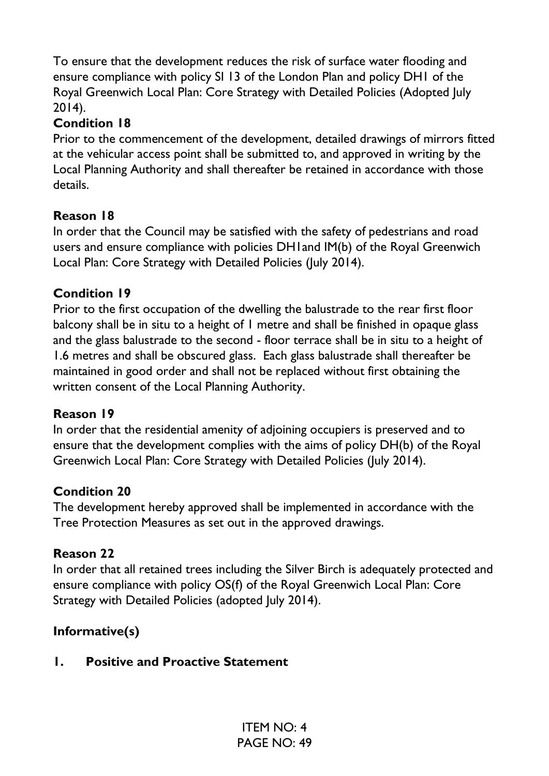To ensure that the development reduces the risk of surface water flooding and ensure compliance with policy SI 13 of the London Plan and policy DH1 of the Royal Greenwich Local Plan: Core Strategy with Detailed Policies (Adopted July 2014).

## **Condition 18**

Prior to the commencement of the development, detailed drawings of mirrors fitted at the vehicular access point shall be submitted to, and approved in writing by the Local Planning Authority and shall thereafter be retained in accordance with those details.

## **Reason 18**

In order that the Council may be satisfied with the safety of pedestrians and road users and ensure compliance with policies DH1and IM(b) of the Royal Greenwich Local Plan: Core Strategy with Detailed Policies (July 2014).

## **Condition 19**

Prior to the first occupation of the dwelling the balustrade to the rear first floor balcony shall be in situ to a height of 1 metre and shall be finished in opaque glass and the glass balustrade to the second - floor terrace shall be in situ to a height of 1.6 metres and shall be obscured glass. Each glass balustrade shall thereafter be maintained in good order and shall not be replaced without first obtaining the written consent of the Local Planning Authority.

### **Reason 19**

In order that the residential amenity of adjoining occupiers is preserved and to ensure that the development complies with the aims of policy DH(b) of the Royal Greenwich Local Plan: Core Strategy with Detailed Policies (July 2014).

### **Condition 20**

The development hereby approved shall be implemented in accordance with the Tree Protection Measures as set out in the approved drawings.

### **Reason 22**

In order that all retained trees including the Silver Birch is adequately protected and ensure compliance with policy OS(f) of the Royal Greenwich Local Plan: Core Strategy with Detailed Policies (adopted July 2014).

## **Informative(s)**

### **1. Positive and Proactive Statement**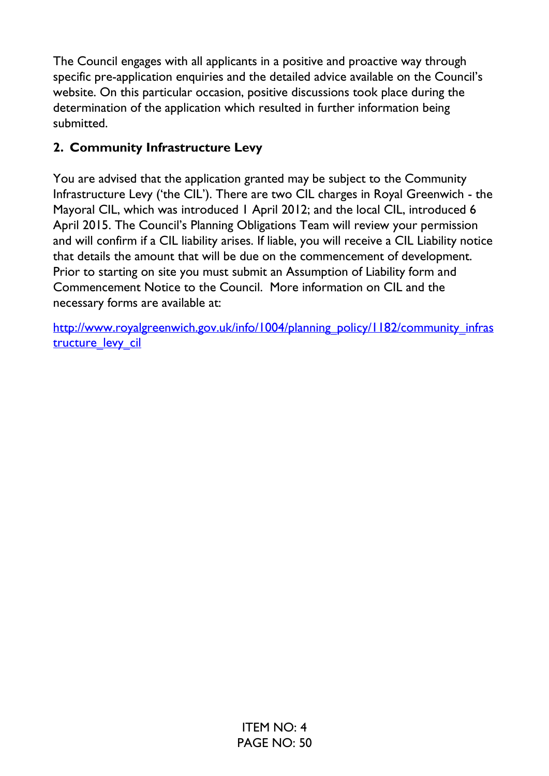The Council engages with all applicants in a positive and proactive way through specific pre-application enquiries and the detailed advice available on the Council's website. On this particular occasion, positive discussions took place during the determination of the application which resulted in further information being submitted.

## **2. Community Infrastructure Levy**

You are advised that the application granted may be subject to the Community Infrastructure Levy ('the CIL'). There are two CIL charges in Royal Greenwich - the Mayoral CIL, which was introduced 1 April 2012; and the local CIL, introduced 6 April 2015. The Council's Planning Obligations Team will review your permission and will confirm if a CIL liability arises. If liable, you will receive a CIL Liability notice that details the amount that will be due on the commencement of development. Prior to starting on site you must submit an Assumption of Liability form and Commencement Notice to the Council. More information on CIL and the necessary forms are available at:

[http://www.royalgreenwich.gov.uk/info/1004/planning\\_policy/1182/community\\_infras](http://www.royalgreenwich.gov.uk/info/1004/planning_policy/1182/community_infrastructure_levy_cil) tructure levy cil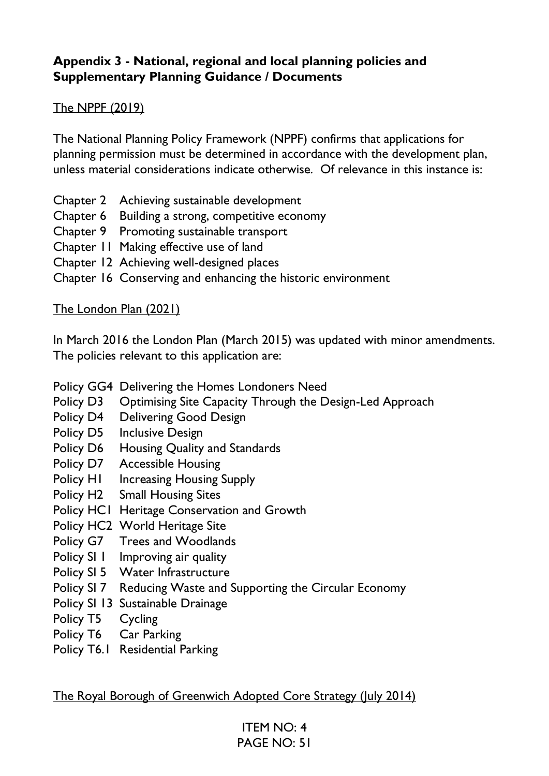#### **Appendix 3 - National, regional and local planning policies and Supplementary Planning Guidance / Documents**

### The NPPF (2019)

The National Planning Policy Framework (NPPF) confirms that applications for planning permission must be determined in accordance with the development plan, unless material considerations indicate otherwise. Of relevance in this instance is:

- Chapter 2 Achieving sustainable development
- Chapter 6 Building a strong, competitive economy
- Chapter 9 Promoting sustainable transport
- Chapter 11 Making effective use of land
- Chapter 12 Achieving well-designed places
- Chapter 16 Conserving and enhancing the historic environment

#### The London Plan (2021)

In March 2016 the London Plan (March 2015) was updated with minor amendments. The policies relevant to this application are:

Policy GG4 Delivering the Homes Londoners Need

- Policy D3 Optimising Site Capacity Through the Design-Led Approach
- Policy D4 Delivering Good Design
- Policy D5 Inclusive Design
- Policy D6 Housing Quality and Standards
- Policy D7 Accessible Housing
- Policy H1 Increasing Housing Supply
- Policy H2 Small Housing Sites
- Policy HC1 Heritage Conservation and Growth
- Policy HC2 World Heritage Site
- Policy G7 Trees and Woodlands
- Policy SI 1 Improving air quality
- Policy SI 5 Water Infrastructure
- Policy SI 7 Reducing Waste and Supporting the Circular Economy
- Policy SI 13 Sustainable Drainage
- Policy T5 Cycling
- Policy T6 Car Parking
- Policy T6.1 Residential Parking

The Royal Borough of Greenwich Adopted Core Strategy (July 2014)